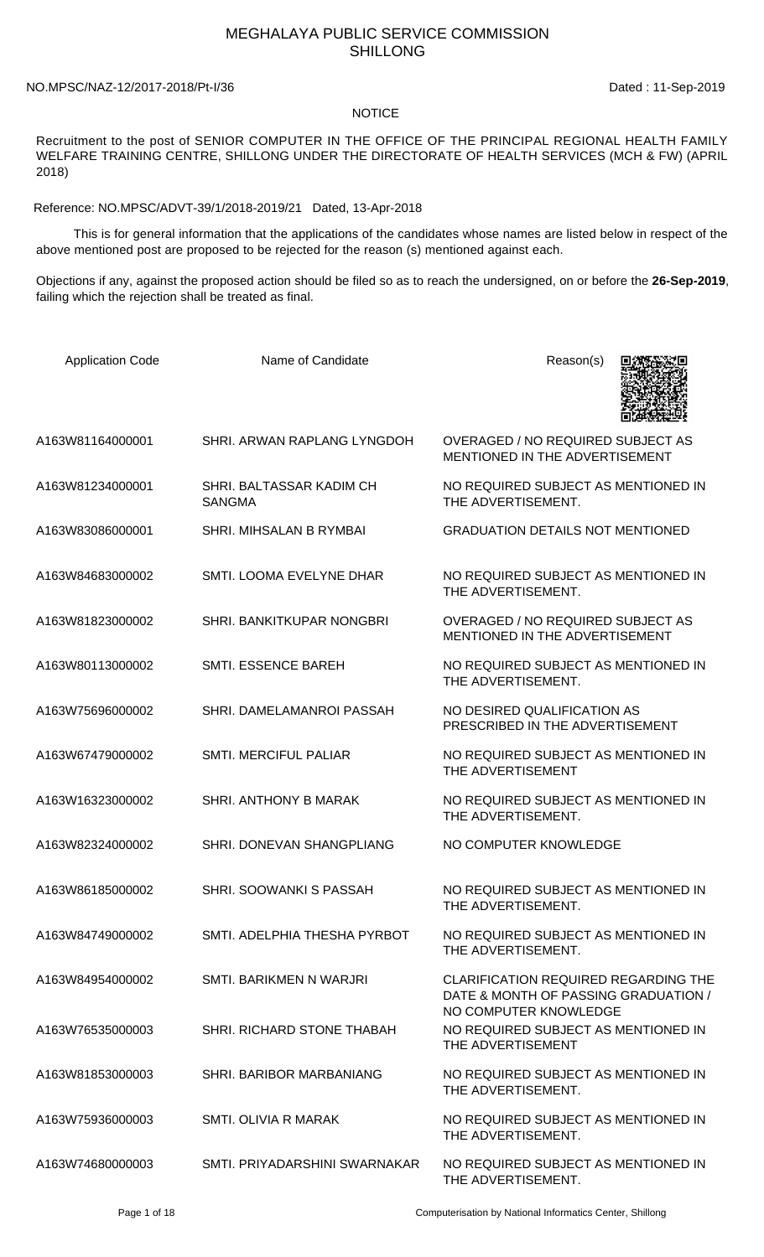## MEGHALAYA PUBLIC SERVICE COMMISSION SHILLONG

## NO.MPSC/NAZ-12/2017-2018/Pt-I/36 Dated: 11-Sep-2019

## NOTICE

Recruitment to the post of SENIOR COMPUTER IN THE OFFICE OF THE PRINCIPAL REGIONAL HEALTH FAMILY WELFARE TRAINING CENTRE, SHILLONG UNDER THE DIRECTORATE OF HEALTH SERVICES (MCH & FW) (APRIL 2018)

Reference: NO.MPSC/ADVT-39/1/2018-2019/21 Dated, 13-Apr-2018

 This is for general information that the applications of the candidates whose names are listed below in respect of the above mentioned post are proposed to be rejected for the reason (s) mentioned against each.

Objections if any, against the proposed action should be filed so as to reach the undersigned, on or before the **26-Sep-2019**, failing which the rejection shall be treated as final.

| <b>Application Code</b> | Name of Candidate                         | Reason(s)                                                                                                    |
|-------------------------|-------------------------------------------|--------------------------------------------------------------------------------------------------------------|
| A163W81164000001        | SHRI. ARWAN RAPLANG LYNGDOH               | <b>OVERAGED / NO REQUIRED SUBJECT AS</b><br>MENTIONED IN THE ADVERTISEMENT                                   |
| A163W81234000001        | SHRI. BALTASSAR KADIM CH<br><b>SANGMA</b> | NO REQUIRED SUBJECT AS MENTIONED IN<br>THE ADVERTISEMENT.                                                    |
| A163W83086000001        | SHRI. MIHSALAN B RYMBAI                   | <b>GRADUATION DETAILS NOT MENTIONED</b>                                                                      |
| A163W84683000002        | SMTI. LOOMA EVELYNE DHAR                  | NO REQUIRED SUBJECT AS MENTIONED IN<br>THE ADVERTISEMENT.                                                    |
| A163W81823000002        | SHRI. BANKITKUPAR NONGBRI                 | <b>OVERAGED / NO REQUIRED SUBJECT AS</b><br>MENTIONED IN THE ADVERTISEMENT                                   |
| A163W80113000002        | <b>SMTI. ESSENCE BAREH</b>                | NO REQUIRED SUBJECT AS MENTIONED IN<br>THE ADVERTISEMENT.                                                    |
| A163W75696000002        | SHRI. DAMELAMANROI PASSAH                 | NO DESIRED QUALIFICATION AS<br>PRESCRIBED IN THE ADVERTISEMENT                                               |
| A163W67479000002        | <b>SMTI. MERCIFUL PALIAR</b>              | NO REQUIRED SUBJECT AS MENTIONED IN<br>THE ADVERTISEMENT                                                     |
| A163W16323000002        | SHRI. ANTHONY B MARAK                     | NO REQUIRED SUBJECT AS MENTIONED IN<br>THE ADVERTISEMENT.                                                    |
| A163W82324000002        | SHRI. DONEVAN SHANGPLIANG                 | NO COMPUTER KNOWLEDGE                                                                                        |
| A163W86185000002        | <b>SHRI, SOOWANKI S PASSAH</b>            | NO REQUIRED SUBJECT AS MENTIONED IN<br>THE ADVERTISEMENT.                                                    |
| A163W84749000002        | SMTI. ADELPHIA THESHA PYRBOT              | NO REQUIRED SUBJECT AS MENTIONED IN<br>THE ADVERTISEMENT.                                                    |
| A163W84954000002        | SMTI, BARIKMEN N WARJRI                   | <b>CLARIFICATION REQUIRED REGARDING THE</b><br>DATE & MONTH OF PASSING GRADUATION /<br>NO COMPUTER KNOWLEDGE |
| A163W76535000003        | SHRI. RICHARD STONE THABAH                | NO REQUIRED SUBJECT AS MENTIONED IN<br>THE ADVERTISEMENT                                                     |
| A163W81853000003        | SHRI. BARIBOR MARBANIANG                  | NO REQUIRED SUBJECT AS MENTIONED IN<br>THE ADVERTISEMENT.                                                    |
| A163W75936000003        | SMTI, OLIVIA R MARAK                      | NO REQUIRED SUBJECT AS MENTIONED IN<br>THE ADVERTISEMENT.                                                    |
| A163W74680000003        | SMTI. PRIYADARSHINI SWARNAKAR             | NO REQUIRED SUBJECT AS MENTIONED IN<br>THE ADVERTISEMENT.                                                    |

Page 1 of 18 Computerisation by National Informatics Center, Shillong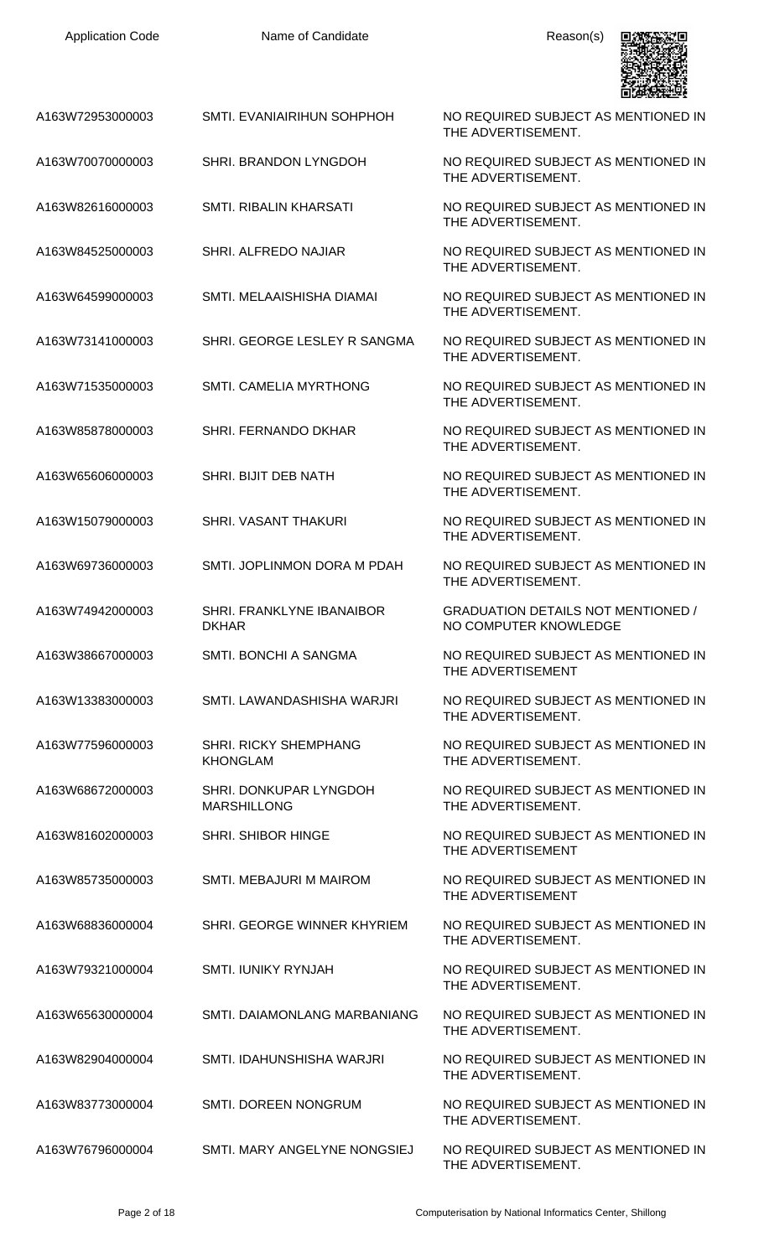| A163W72953000003 | SMTI. EVANIAIRIHUN SOHPHOH                   | NO REQUIRED SUBJECT AS MENTIONED IN<br>THE ADVERTISEMENT.          |
|------------------|----------------------------------------------|--------------------------------------------------------------------|
| A163W70070000003 | SHRI. BRANDON LYNGDOH                        | NO REQUIRED SUBJECT AS MENTIONED IN<br>THE ADVERTISEMENT.          |
| A163W82616000003 | SMTI. RIBALIN KHARSATI                       | NO REQUIRED SUBJECT AS MENTIONED IN<br>THE ADVERTISEMENT.          |
| A163W84525000003 | SHRI. ALFREDO NAJIAR                         | NO REQUIRED SUBJECT AS MENTIONED IN<br>THE ADVERTISEMENT.          |
| A163W64599000003 | SMTI. MELAAISHISHA DIAMAI                    | NO REQUIRED SUBJECT AS MENTIONED IN<br>THE ADVERTISEMENT.          |
| A163W73141000003 | SHRI. GEORGE LESLEY R SANGMA                 | NO REQUIRED SUBJECT AS MENTIONED IN<br>THE ADVERTISEMENT.          |
| A163W71535000003 | <b>SMTI. CAMELIA MYRTHONG</b>                | NO REQUIRED SUBJECT AS MENTIONED IN<br>THE ADVERTISEMENT.          |
| A163W85878000003 | SHRI. FERNANDO DKHAR                         | NO REQUIRED SUBJECT AS MENTIONED IN<br>THE ADVERTISEMENT.          |
| A163W65606000003 | SHRI. BIJIT DEB NATH                         | NO REQUIRED SUBJECT AS MENTIONED IN<br>THE ADVERTISEMENT.          |
| A163W15079000003 | SHRI. VASANT THAKURI                         | NO REQUIRED SUBJECT AS MENTIONED IN<br>THE ADVERTISEMENT.          |
| A163W69736000003 | SMTI. JOPLINMON DORA M PDAH                  | NO REQUIRED SUBJECT AS MENTIONED IN<br>THE ADVERTISEMENT.          |
| A163W74942000003 | SHRI. FRANKLYNE IBANAIBOR<br><b>DKHAR</b>    | <b>GRADUATION DETAILS NOT MENTIONED /</b><br>NO COMPUTER KNOWLEDGE |
| A163W38667000003 | SMTI. BONCHI A SANGMA                        | NO REQUIRED SUBJECT AS MENTIONED IN<br>THE ADVERTISEMENT           |
| A163W13383000003 | SMTI. LAWANDASHISHA WARJRI                   | NO REQUIRED SUBJECT AS MENTIONED IN<br>THE ADVERTISEMENT.          |
| A163W77596000003 | SHRI. RICKY SHEMPHANG<br><b>KHONGLAM</b>     | NO REQUIRED SUBJECT AS MENTIONED IN<br>THE ADVERTISEMENT.          |
| A163W68672000003 | SHRI. DONKUPAR LYNGDOH<br><b>MARSHILLONG</b> | NO REQUIRED SUBJECT AS MENTIONED IN<br>THE ADVERTISEMENT.          |
| A163W81602000003 | SHRI. SHIBOR HINGE                           | NO REQUIRED SUBJECT AS MENTIONED IN<br>THE ADVERTISEMENT           |
| A163W85735000003 | SMTI. MEBAJURI M MAIROM                      | NO REQUIRED SUBJECT AS MENTIONED IN<br>THE ADVERTISEMENT           |
| A163W68836000004 | SHRI. GEORGE WINNER KHYRIEM                  | NO REQUIRED SUBJECT AS MENTIONED IN<br>THE ADVERTISEMENT.          |
| A163W79321000004 | <b>SMTI. IUNIKY RYNJAH</b>                   | NO REQUIRED SUBJECT AS MENTIONED IN<br>THE ADVERTISEMENT.          |
| A163W65630000004 | SMTI. DAIAMONLANG MARBANIANG                 | NO REQUIRED SUBJECT AS MENTIONED IN<br>THE ADVERTISEMENT.          |
| A163W82904000004 | SMTI. IDAHUNSHISHA WARJRI                    | NO REQUIRED SUBJECT AS MENTIONED IN<br>THE ADVERTISEMENT.          |
| A163W83773000004 | <b>SMTI. DOREEN NONGRUM</b>                  | NO REQUIRED SUBJECT AS MENTIONED IN<br>THE ADVERTISEMENT.          |
| A163W76796000004 | SMTI. MARY ANGELYNE NONGSIEJ                 | NO REQUIRED SUBJECT AS MENTIONED IN                                |

THE ADVERTISEMENT.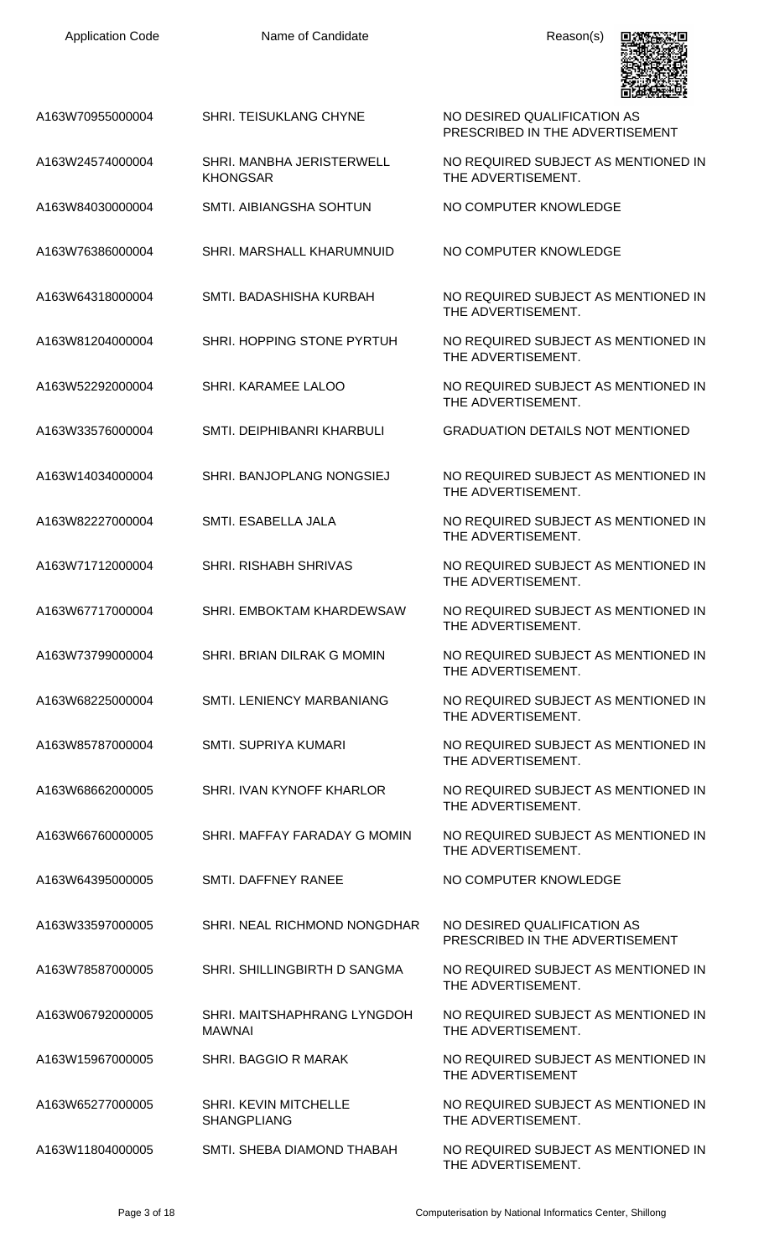PRESCRIBED IN THE ADVERTISEMENT

THE ADVERTISEMENT.

THE ADVERTISEMENT.

THE ADVERTISEMENT.

THE ADVERTISEMENT.

THE ADVERTISEMENT.

THE ADVERTISEMENT.

THE ADVERTISEMENT.

THE ADVERTISEMENT.

THE ADVERTISEMENT.

THE ADVERTISEMENT.

THE ADVERTISEMENT.

THE ADVERTISEMENT.

THE ADVERTISEMENT.

THE ADVERTISEMENT.

THE ADVERTISEMENT.

THE ADVERTISEMENT

THE ADVERTISEMENT.

THE ADVERTISEMENT.

PRESCRIBED IN THE ADVERTISEMENT

NO REQUIRED SUBJECT AS MENTIONED IN

NO REQUIRED SUBJECT AS MENTIONED IN

NO REQUIRED SUBJECT AS MENTIONED IN



A163W70955000004 SHRI. TEISUKLANG CHYNE NO DESIRED QUALIFICATION AS

- A163W24574000004 SHRI. MANBHA JERISTERWELL KHONGSAR
- A163W84030000004 SMTI. AIBIANGSHA SOHTUN NO COMPUTER KNOWLEDGE
- A163W76386000004 SHRI. MARSHALL KHARUMNUID NO COMPUTER KNOWLEDGE
- A163W64318000004 SMTI. BADASHISHA KURBAH NO REQUIRED SUBJECT AS MENTIONED IN
- A163W81204000004 SHRI. HOPPING STONE PYRTUH NO REQUIRED SUBJECT AS MENTIONED IN
- A163W52292000004 SHRI. KARAMEE LALOO NO REQUIRED SUBJECT AS MENTIONED IN
- A163W33576000004 SMTI. DEIPHIBANRI KHARBULI GRADUATION DETAILS NOT MENTIONED
- A163W14034000004 SHRI. BANJOPLANG NONGSIEJ NO REQUIRED SUBJECT AS MENTIONED IN
- A163W82227000004 SMTI. ESABELLA JALA NO REQUIRED SUBJECT AS MENTIONED IN
- A163W71712000004 SHRI. RISHABH SHRIVAS NO REQUIRED SUBJECT AS MENTIONED IN
- A163W67717000004 SHRI. EMBOKTAM KHARDEWSAW NO REQUIRED SUBJECT AS MENTIONED IN
- A163W73799000004 SHRI. BRIAN DILRAK G MOMIN NO REQUIRED SUBJECT AS MENTIONED IN
- A163W68225000004 SMTI. LENIENCY MARBANIANG NO REQUIRED SUBJECT AS MENTIONED IN
- A163W85787000004 SMTI. SUPRIYA KUMARI NO REQUIRED SUBJECT AS MENTIONED IN
- A163W68662000005 SHRI. IVAN KYNOFF KHARLOR NO REQUIRED SUBJECT AS MENTIONED IN
- A163W66760000005 SHRI. MAFFAY FARADAY G MOMIN NO REQUIRED SUBJECT AS MENTIONED IN
- A163W64395000005 SMTI. DAFFNEY RANEE NO COMPUTER KNOWLEDGE
- A163W33597000005 SHRI. NEAL RICHMOND NONGDHAR NO DESIRED QUALIFICATION AS
- A163W78587000005 SHRI. SHILLINGBIRTH D SANGMA NO REQUIRED SUBJECT AS MENTIONED IN
- A163W06792000005 SHRI. MAITSHAPHRANG LYNGDOH MAWNAI

SHANGPLIANG

- A163W15967000005 SHRI. BAGGIO R MARAK NO REQUIRED SUBJECT AS MENTIONED IN
- A163W65277000005 SHRI. KEVIN MITCHELLE
- A163W11804000005 SMTI. SHEBA DIAMOND THABAH NO REQUIRED SUBJECT AS MENTIONED IN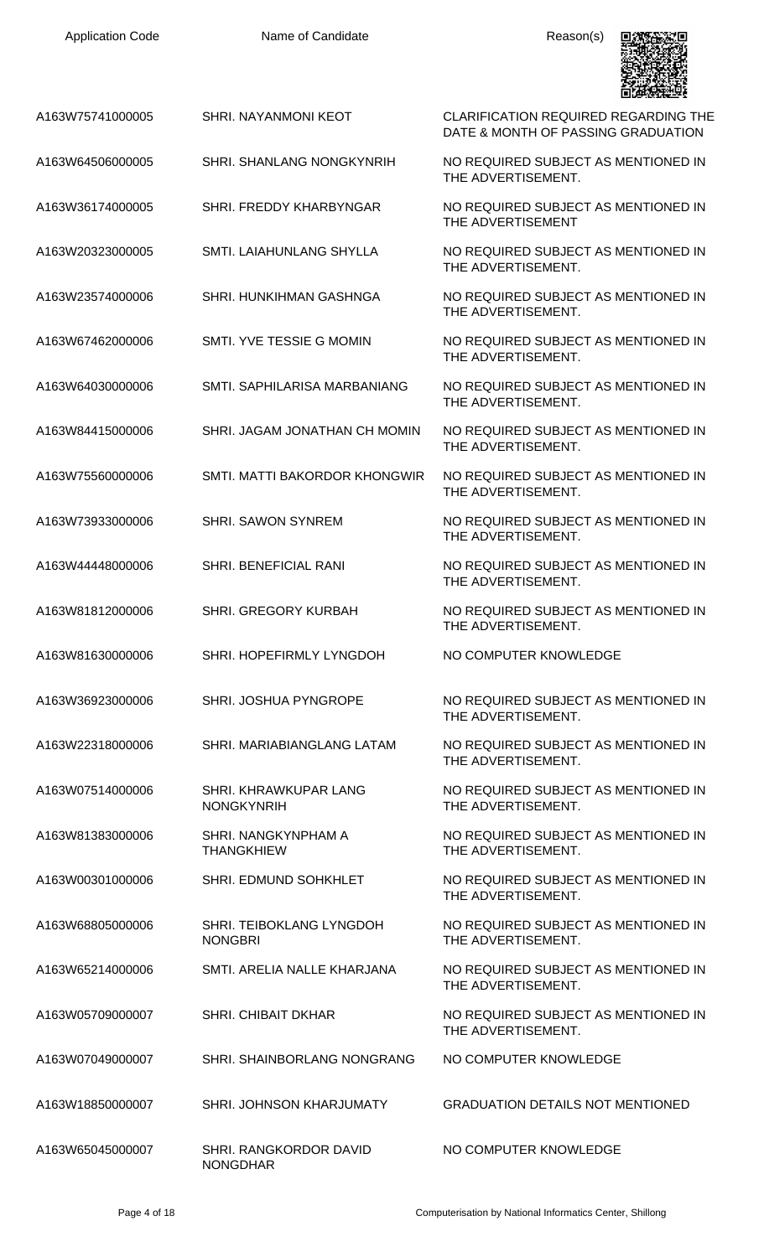| <b>Application Code</b> | Name of Candidate                          | Reason(s)                                                                         |
|-------------------------|--------------------------------------------|-----------------------------------------------------------------------------------|
| A163W75741000005        | SHRI, NAYANMONI KEOT                       | <b>CLARIFICATION REQUIRED REGARDING THE</b><br>DATE & MONTH OF PASSING GRADUATION |
| A163W64506000005        | <b>SHRI. SHANLANG NONGKYNRIH</b>           | NO REQUIRED SUBJECT AS MENTIONED IN<br>THE ADVERTISEMENT.                         |
| A163W36174000005        | SHRI. FREDDY KHARBYNGAR                    | NO REQUIRED SUBJECT AS MENTIONED IN<br>THE ADVERTISEMENT                          |
| A163W20323000005        | SMTI. LAIAHUNLANG SHYLLA                   | NO REQUIRED SUBJECT AS MENTIONED IN<br>THE ADVERTISEMENT.                         |
| A163W23574000006        | SHRI. HUNKIHMAN GASHNGA                    | NO REQUIRED SUBJECT AS MENTIONED IN<br>THE ADVERTISEMENT.                         |
| A163W67462000006        | SMTI. YVE TESSIE G MOMIN                   | NO REQUIRED SUBJECT AS MENTIONED IN<br>THE ADVERTISEMENT.                         |
| A163W64030000006        | SMTI. SAPHILARISA MARBANIANG               | NO REQUIRED SUBJECT AS MENTIONED IN<br>THE ADVERTISEMENT.                         |
| A163W84415000006        | SHRI. JAGAM JONATHAN CH MOMIN              | NO REQUIRED SUBJECT AS MENTIONED IN<br>THE ADVERTISEMENT.                         |
| A163W75560000006        | SMTI. MATTI BAKORDOR KHONGWIR              | NO REQUIRED SUBJECT AS MENTIONED IN<br>THE ADVERTISEMENT.                         |
| A163W73933000006        | <b>SHRI. SAWON SYNREM</b>                  | NO REQUIRED SUBJECT AS MENTIONED IN<br>THE ADVERTISEMENT.                         |
| A163W44448000006        | <b>SHRI. BENEFICIAL RANI</b>               | NO REQUIRED SUBJECT AS MENTIONED IN<br>THE ADVERTISEMENT.                         |
| A163W81812000006        | <b>SHRI. GREGORY KURBAH</b>                | NO REQUIRED SUBJECT AS MENTIONED IN<br>THE ADVERTISEMENT.                         |
| A163W81630000006        | SHRI. HOPEFIRMLY LYNGDOH                   | NO COMPUTER KNOWLEDGE                                                             |
| A163W36923000006        | SHRI. JOSHUA PYNGROPE                      | NO REQUIRED SUBJECT AS MENTIONED IN<br>THE ADVERTISEMENT.                         |
| A163W22318000006        | SHRI. MARIABIANGLANG LATAM                 | NO REQUIRED SUBJECT AS MENTIONED IN<br>THE ADVERTISEMENT.                         |
| A163W07514000006        | SHRI. KHRAWKUPAR LANG<br><b>NONGKYNRIH</b> | NO REQUIRED SUBJECT AS MENTIONED IN<br>THE ADVERTISEMENT.                         |
| A163W81383000006        | SHRI. NANGKYNPHAM A<br><b>THANGKHIEW</b>   | NO REQUIRED SUBJECT AS MENTIONED IN<br>THE ADVERTISEMENT.                         |
| A163W00301000006        | SHRI. EDMUND SOHKHLET                      | NO REQUIRED SUBJECT AS MENTIONED IN<br>THE ADVERTISEMENT.                         |
| A163W68805000006        | SHRI. TEIBOKLANG LYNGDOH<br><b>NONGBRI</b> | NO REQUIRED SUBJECT AS MENTIONED IN<br>THE ADVERTISEMENT.                         |
| A163W65214000006        | SMTI. ARELIA NALLE KHARJANA                | NO REQUIRED SUBJECT AS MENTIONED IN<br>THE ADVERTISEMENT.                         |
| A163W05709000007        | <b>SHRI. CHIBAIT DKHAR</b>                 | NO REQUIRED SUBJECT AS MENTIONED IN<br>THE ADVERTISEMENT.                         |
| A163W07049000007        | SHRI, SHAINBORLANG NONGRANG                | NO COMPUTER KNOWLEDGE                                                             |
| A163W18850000007        | SHRI. JOHNSON KHARJUMATY                   | <b>GRADUATION DETAILS NOT MENTIONED</b>                                           |
| A163W65045000007        | SHRI. RANGKORDOR DAVID<br><b>NONGDHAR</b>  | NO COMPUTER KNOWLEDGE                                                             |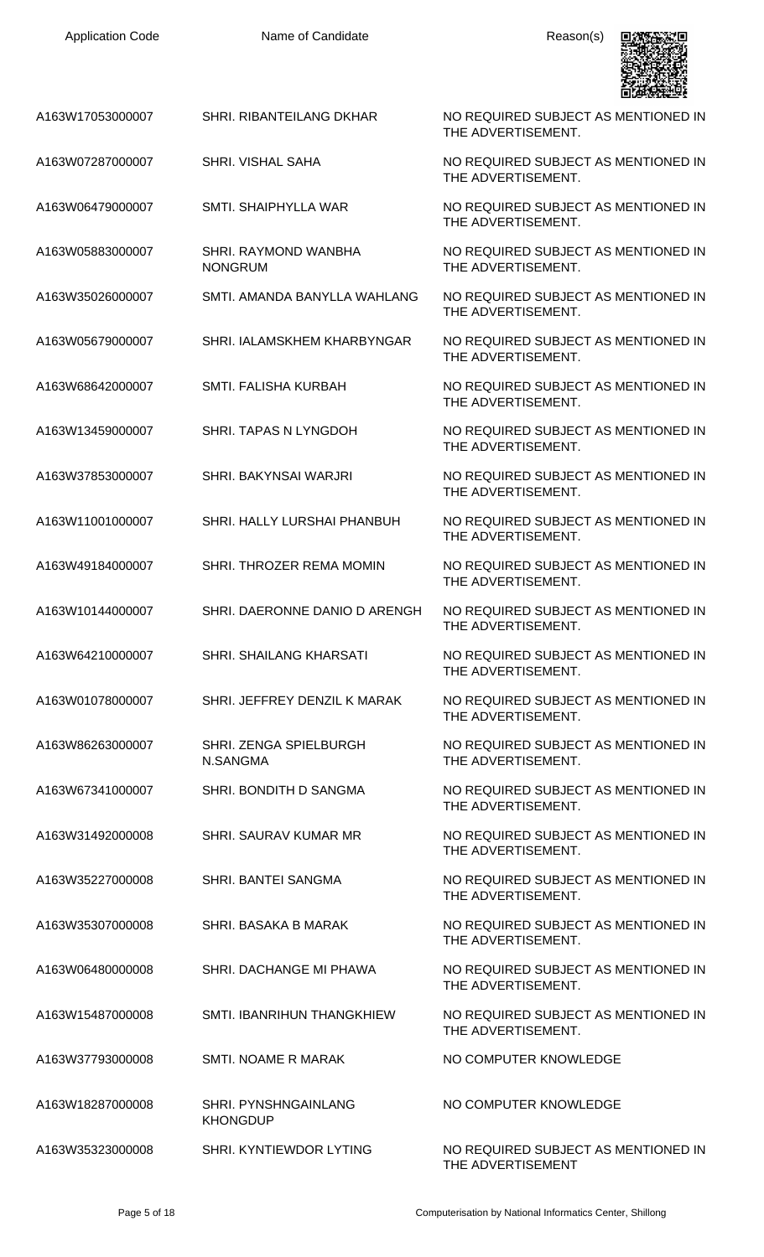| A163W17053000007 | SHRI. RIBANTEILANG DKHAR                | NO REQUIRED SUBJECT AS MENTIONED IN<br>THE ADVERTISEMENT. |
|------------------|-----------------------------------------|-----------------------------------------------------------|
| A163W07287000007 | SHRI. VISHAL SAHA                       | NO REQUIRED SUBJECT AS MENTIONED IN<br>THE ADVERTISEMENT. |
| A163W06479000007 | SMTI. SHAIPHYLLA WAR                    | NO REQUIRED SUBJECT AS MENTIONED IN<br>THE ADVERTISEMENT. |
| A163W05883000007 | SHRI. RAYMOND WANBHA<br><b>NONGRUM</b>  | NO REQUIRED SUBJECT AS MENTIONED IN<br>THE ADVERTISEMENT. |
| A163W35026000007 | SMTI. AMANDA BANYLLA WAHLANG            | NO REQUIRED SUBJECT AS MENTIONED IN<br>THE ADVERTISEMENT. |
| A163W05679000007 | SHRI. IALAMSKHEM KHARBYNGAR             | NO REQUIRED SUBJECT AS MENTIONED IN<br>THE ADVERTISEMENT. |
| A163W68642000007 | <b>SMTI. FALISHA KURBAH</b>             | NO REQUIRED SUBJECT AS MENTIONED IN<br>THE ADVERTISEMENT. |
| A163W13459000007 | SHRI. TAPAS N LYNGDOH                   | NO REQUIRED SUBJECT AS MENTIONED IN<br>THE ADVERTISEMENT. |
| A163W37853000007 | SHRI. BAKYNSAI WARJRI                   | NO REQUIRED SUBJECT AS MENTIONED IN<br>THE ADVERTISEMENT. |
| A163W11001000007 | SHRI. HALLY LURSHAI PHANBUH             | NO REQUIRED SUBJECT AS MENTIONED IN<br>THE ADVERTISEMENT. |
| A163W49184000007 | SHRI. THROZER REMA MOMIN                | NO REQUIRED SUBJECT AS MENTIONED IN<br>THE ADVERTISEMENT. |
| A163W10144000007 | SHRI. DAERONNE DANIO D ARENGH           | NO REQUIRED SUBJECT AS MENTIONED IN<br>THE ADVERTISEMENT. |
| A163W64210000007 | SHRI. SHAILANG KHARSATI                 | NO REQUIRED SUBJECT AS MENTIONED IN<br>THE ADVERTISEMENT. |
| A163W01078000007 | SHRI. JEFFREY DENZIL K MARAK            | NO REQUIRED SUBJECT AS MENTIONED IN<br>THE ADVERTISEMENT. |
| A163W86263000007 | SHRI. ZENGA SPIELBURGH<br>N.SANGMA      | NO REQUIRED SUBJECT AS MENTIONED IN<br>THE ADVERTISEMENT. |
| A163W67341000007 | SHRI. BONDITH D SANGMA                  | NO REQUIRED SUBJECT AS MENTIONED IN<br>THE ADVERTISEMENT. |
| A163W31492000008 | SHRI. SAURAV KUMAR MR                   | NO REQUIRED SUBJECT AS MENTIONED IN<br>THE ADVERTISEMENT. |
| A163W35227000008 | SHRI. BANTEI SANGMA                     | NO REQUIRED SUBJECT AS MENTIONED IN<br>THE ADVERTISEMENT. |
| A163W35307000008 | SHRI. BASAKA B MARAK                    | NO REQUIRED SUBJECT AS MENTIONED IN<br>THE ADVERTISEMENT. |
| A163W06480000008 | SHRI. DACHANGE MI PHAWA                 | NO REQUIRED SUBJECT AS MENTIONED IN<br>THE ADVERTISEMENT. |
| A163W15487000008 | SMTI. IBANRIHUN THANGKHIEW              | NO REQUIRED SUBJECT AS MENTIONED IN<br>THE ADVERTISEMENT. |
| A163W37793000008 | SMTI. NOAME R MARAK                     | NO COMPUTER KNOWLEDGE                                     |
| A163W18287000008 | SHRI. PYNSHNGAINLANG<br><b>KHONGDUP</b> | NO COMPUTER KNOWLEDGE                                     |
| A163W35323000008 | SHRI, KYNTIEWDOR LYTING                 | NO REQUIRED SUBJECT AS MENTIONED IN<br>THE ADVERTISEMENT  |

具線接線場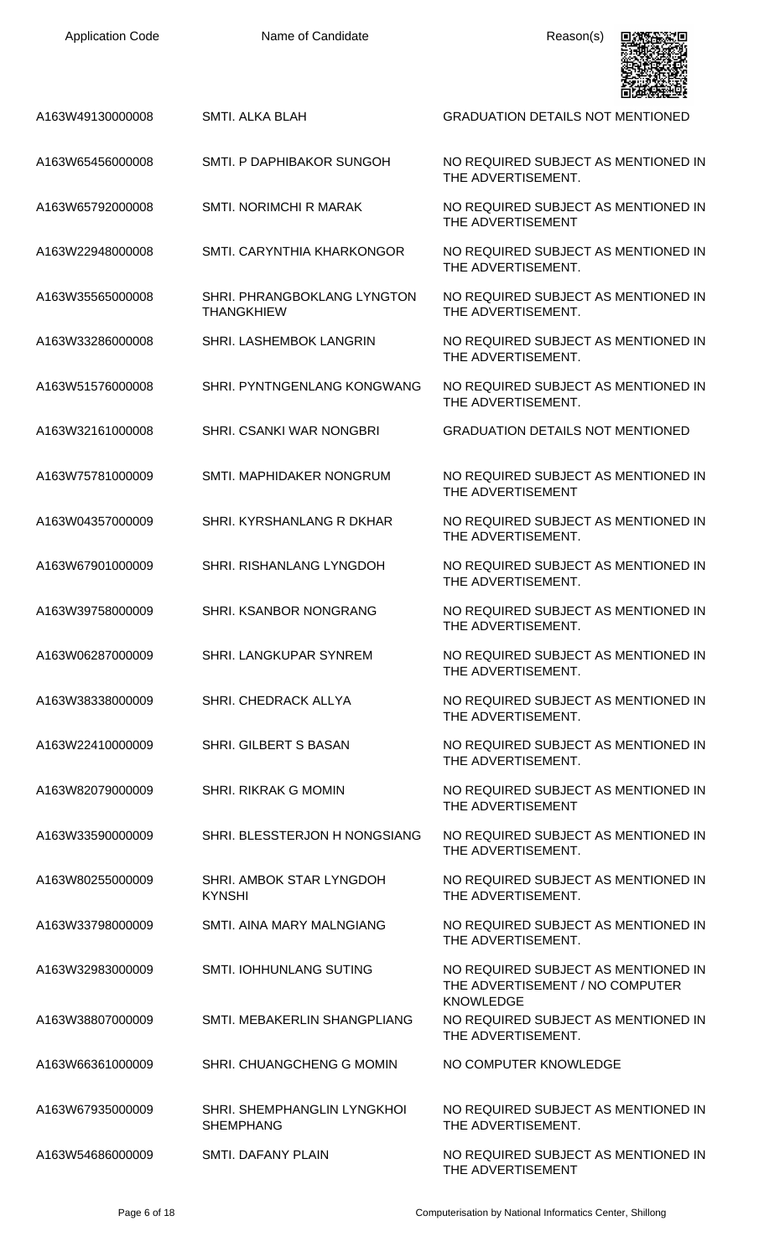| <b>Application Code</b> | Name of Candidate                                       | Reason(s)                                                                                  |
|-------------------------|---------------------------------------------------------|--------------------------------------------------------------------------------------------|
| A163W49130000008        | <b>SMTI. ALKA BLAH</b>                                  | <b>GRADUATION DETAILS NOT MENTIONED</b>                                                    |
| A163W65456000008        | SMTI. P DAPHIBAKOR SUNGOH                               | NO REQUIRED SUBJECT AS MENTIONED IN<br>THE ADVERTISEMENT.                                  |
| A163W65792000008        | <b>SMTI. NORIMCHI R MARAK</b>                           | NO REQUIRED SUBJECT AS MENTIONED IN<br>THE ADVERTISEMENT                                   |
| A163W22948000008        | SMTI. CARYNTHIA KHARKONGOR                              | NO REQUIRED SUBJECT AS MENTIONED IN<br>THE ADVERTISEMENT.                                  |
| A163W35565000008        | <b>SHRI. PHRANGBOKLANG LYNGTON</b><br><b>THANGKHIEW</b> | NO REQUIRED SUBJECT AS MENTIONED IN<br>THE ADVERTISEMENT.                                  |
| A163W33286000008        | <b>SHRI. LASHEMBOK LANGRIN</b>                          | NO REQUIRED SUBJECT AS MENTIONED IN<br>THE ADVERTISEMENT.                                  |
| A163W51576000008        | SHRI. PYNTNGENLANG KONGWANG                             | NO REQUIRED SUBJECT AS MENTIONED IN<br>THE ADVERTISEMENT.                                  |
| A163W32161000008        | SHRI. CSANKI WAR NONGBRI                                | <b>GRADUATION DETAILS NOT MENTIONED</b>                                                    |
| A163W75781000009        | SMTI. MAPHIDAKER NONGRUM                                | NO REQUIRED SUBJECT AS MENTIONED IN<br>THE ADVERTISEMENT                                   |
| A163W04357000009        | SHRI. KYRSHANLANG R DKHAR                               | NO REQUIRED SUBJECT AS MENTIONED IN<br>THE ADVERTISEMENT.                                  |
| A163W67901000009        | <b>SHRI. RISHANLANG LYNGDOH</b>                         | NO REQUIRED SUBJECT AS MENTIONED IN<br>THE ADVERTISEMENT.                                  |
| A163W39758000009        | SHRI. KSANBOR NONGRANG                                  | NO REQUIRED SUBJECT AS MENTIONED IN<br>THE ADVERTISEMENT.                                  |
| A163W06287000009        | <b>SHRI. LANGKUPAR SYNREM</b>                           | NO REQUIRED SUBJECT AS MENTIONED IN<br>THE ADVERTISEMENT.                                  |
| A163W38338000009        | SHRI. CHEDRACK ALLYA                                    | NO REQUIRED SUBJECT AS MENTIONED IN<br>THE ADVERTISEMENT.                                  |
| A163W22410000009        | SHRI. GILBERT S BASAN                                   | NO REQUIRED SUBJECT AS MENTIONED IN<br>THE ADVERTISEMENT.                                  |
| A163W82079000009        | <b>SHRI. RIKRAK G MOMIN</b>                             | NO REQUIRED SUBJECT AS MENTIONED IN<br>THE ADVERTISEMENT                                   |
| A163W33590000009        | SHRI. BLESSTERJON H NONGSIANG                           | NO REQUIRED SUBJECT AS MENTIONED IN<br>THE ADVERTISEMENT.                                  |
| A163W80255000009        | SHRI. AMBOK STAR LYNGDOH<br><b>KYNSHI</b>               | NO REQUIRED SUBJECT AS MENTIONED IN<br>THE ADVERTISEMENT.                                  |
| A163W33798000009        | SMTI. AINA MARY MALNGIANG                               | NO REQUIRED SUBJECT AS MENTIONED IN<br>THE ADVERTISEMENT.                                  |
| A163W32983000009        | <b>SMTI. IOHHUNLANG SUTING</b>                          | NO REQUIRED SUBJECT AS MENTIONED IN<br>THE ADVERTISEMENT / NO COMPUTER<br><b>KNOWLEDGE</b> |
| A163W38807000009        | SMTI. MEBAKERLIN SHANGPLIANG                            | NO REQUIRED SUBJECT AS MENTIONED IN<br>THE ADVERTISEMENT.                                  |
| A163W66361000009        | SHRI. CHUANGCHENG G MOMIN                               | NO COMPUTER KNOWLEDGE                                                                      |
| A163W67935000009        | SHRI. SHEMPHANGLIN LYNGKHOI<br><b>SHEMPHANG</b>         | NO REQUIRED SUBJECT AS MENTIONED IN<br>THE ADVERTISEMENT.                                  |
| A163W54686000009        | SMTI. DAFANY PLAIN                                      | NO REQUIRED SUBJECT AS MENTIONED IN<br>THE ADVERTISEMENT                                   |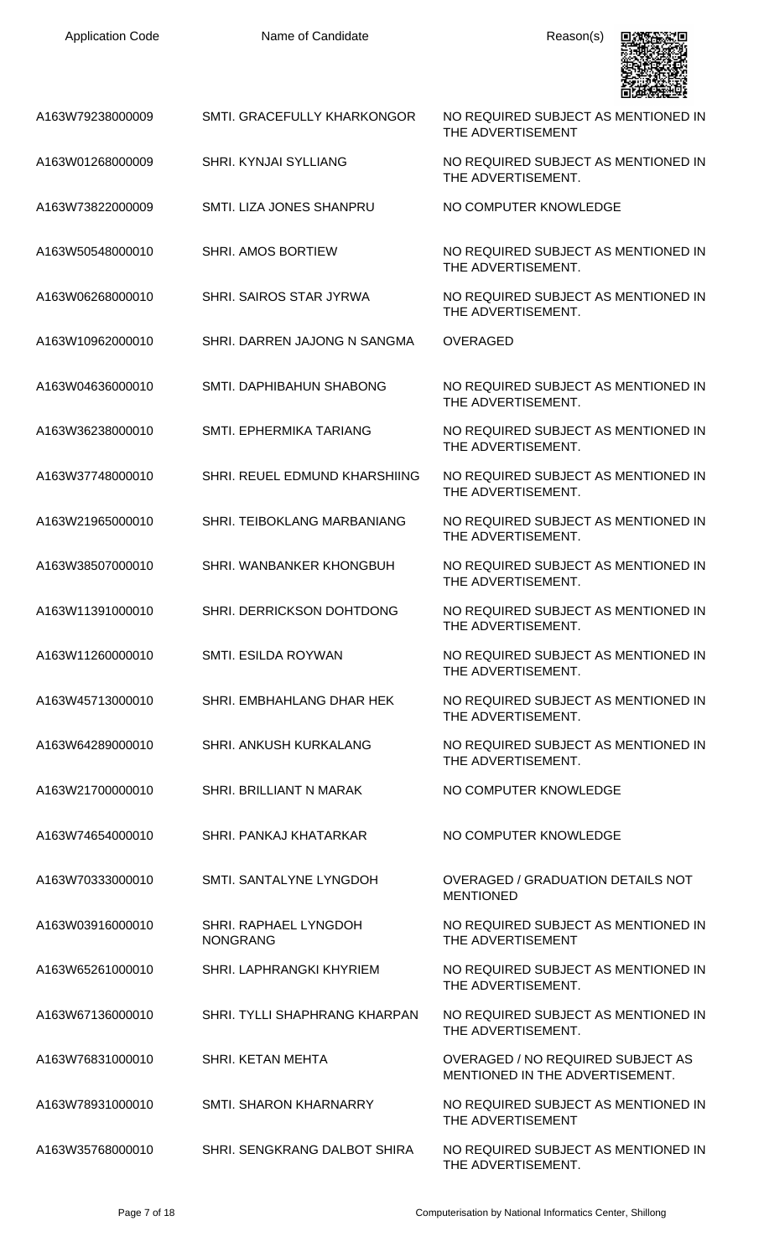Name of Candidate **Reason(s)** 



| A163W79238000009 | <b>SMTI. GRACEFULLY KHARKONGOR</b>       | NO REQUIRED SUBJECT AS MENTIONED IN<br>THE ADVERTISEMENT                    |
|------------------|------------------------------------------|-----------------------------------------------------------------------------|
| A163W01268000009 | SHRI. KYNJAI SYLLIANG                    | NO REQUIRED SUBJECT AS MENTIONED IN<br>THE ADVERTISEMENT.                   |
| A163W73822000009 | SMTI. LIZA JONES SHANPRU                 | NO COMPUTER KNOWLEDGE                                                       |
| A163W50548000010 | <b>SHRI. AMOS BORTIEW</b>                | NO REQUIRED SUBJECT AS MENTIONED IN<br>THE ADVERTISEMENT.                   |
| A163W06268000010 | SHRI. SAIROS STAR JYRWA                  | NO REQUIRED SUBJECT AS MENTIONED IN<br>THE ADVERTISEMENT.                   |
| A163W10962000010 | SHRI. DARREN JAJONG N SANGMA             | <b>OVERAGED</b>                                                             |
| A163W04636000010 | SMTI. DAPHIBAHUN SHABONG                 | NO REQUIRED SUBJECT AS MENTIONED IN<br>THE ADVERTISEMENT.                   |
| A163W36238000010 | SMTI. EPHERMIKA TARIANG                  | NO REQUIRED SUBJECT AS MENTIONED IN<br>THE ADVERTISEMENT.                   |
| A163W37748000010 | SHRI. REUEL EDMUND KHARSHIING            | NO REQUIRED SUBJECT AS MENTIONED IN<br>THE ADVERTISEMENT.                   |
| A163W21965000010 | SHRI. TEIBOKLANG MARBANIANG              | NO REQUIRED SUBJECT AS MENTIONED IN<br>THE ADVERTISEMENT.                   |
| A163W38507000010 | SHRI. WANBANKER KHONGBUH                 | NO REQUIRED SUBJECT AS MENTIONED IN<br>THE ADVERTISEMENT.                   |
| A163W11391000010 | SHRI. DERRICKSON DOHTDONG                | NO REQUIRED SUBJECT AS MENTIONED IN<br>THE ADVERTISEMENT.                   |
| A163W11260000010 | SMTI. ESILDA ROYWAN                      | NO REQUIRED SUBJECT AS MENTIONED IN<br>THE ADVERTISEMENT.                   |
| A163W45713000010 | SHRI. EMBHAHLANG DHAR HEK                | NO REQUIRED SUBJECT AS MENTIONED IN<br>THE ADVERTISEMENT.                   |
| A163W64289000010 | <b>SHRI. ANKUSH KURKALANG</b>            | NO REQUIRED SUBJECT AS MENTIONED IN<br>THE ADVERTISEMENT.                   |
| A163W21700000010 | SHRI. BRILLIANT N MARAK                  | NO COMPUTER KNOWLEDGE                                                       |
| A163W74654000010 | SHRI. PANKAJ KHATARKAR                   | NO COMPUTER KNOWLEDGE                                                       |
| A163W70333000010 | SMTI. SANTALYNE LYNGDOH                  | OVERAGED / GRADUATION DETAILS NOT<br><b>MENTIONED</b>                       |
| A163W03916000010 | SHRI. RAPHAEL LYNGDOH<br><b>NONGRANG</b> | NO REQUIRED SUBJECT AS MENTIONED IN<br>THE ADVERTISEMENT                    |
| A163W65261000010 | SHRI. LAPHRANGKI KHYRIEM                 | NO REQUIRED SUBJECT AS MENTIONED IN<br>THE ADVERTISEMENT.                   |
| A163W67136000010 | SHRI. TYLLI SHAPHRANG KHARPAN            | NO REQUIRED SUBJECT AS MENTIONED IN<br>THE ADVERTISEMENT.                   |
| A163W76831000010 | SHRI, KETAN MEHTA                        | <b>OVERAGED / NO REQUIRED SUBJECT AS</b><br>MENTIONED IN THE ADVERTISEMENT. |
| A163W78931000010 | SMTI. SHARON KHARNARRY                   | NO REQUIRED SUBJECT AS MENTIONED IN<br>THE ADVERTISEMENT                    |
| A163W35768000010 | SHRI. SENGKRANG DALBOT SHIRA             | NO REQUIRED SUBJECT AS MENTIONED IN<br>THE ADVERTISEMENT.                   |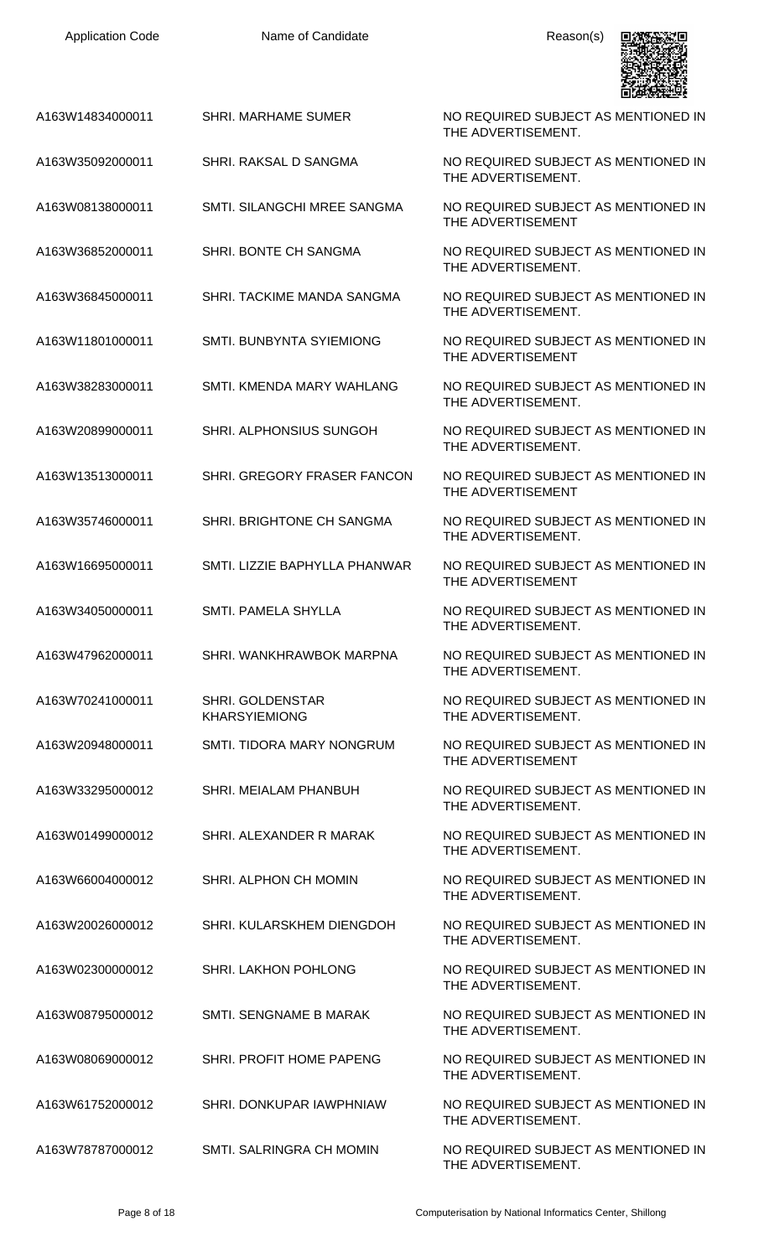| A163W14834000011 | <b>SHRI. MARHAME SUMER</b>               | NO REQUIRED SUBJECT AS MENTIONED IN<br>THE ADVERTISEMENT. |
|------------------|------------------------------------------|-----------------------------------------------------------|
| A163W35092000011 | SHRI. RAKSAL D SANGMA                    | NO REQUIRED SUBJECT AS MENTIONED IN<br>THE ADVERTISEMENT. |
| A163W08138000011 | SMTI. SILANGCHI MREE SANGMA              | NO REQUIRED SUBJECT AS MENTIONED IN<br>THE ADVERTISEMENT  |
| A163W36852000011 | SHRI. BONTE CH SANGMA                    | NO REQUIRED SUBJECT AS MENTIONED IN<br>THE ADVERTISEMENT. |
| A163W36845000011 | SHRI. TACKIME MANDA SANGMA               | NO REQUIRED SUBJECT AS MENTIONED IN<br>THE ADVERTISEMENT. |
| A163W11801000011 | SMTI. BUNBYNTA SYIEMIONG                 | NO REQUIRED SUBJECT AS MENTIONED IN<br>THE ADVERTISEMENT  |
| A163W38283000011 | SMTI. KMENDA MARY WAHLANG                | NO REQUIRED SUBJECT AS MENTIONED IN<br>THE ADVERTISEMENT. |
| A163W20899000011 | SHRI. ALPHONSIUS SUNGOH                  | NO REQUIRED SUBJECT AS MENTIONED IN<br>THE ADVERTISEMENT. |
| A163W13513000011 | SHRI. GREGORY FRASER FANCON              | NO REQUIRED SUBJECT AS MENTIONED IN<br>THE ADVERTISEMENT  |
| A163W35746000011 | SHRI. BRIGHTONE CH SANGMA                | NO REQUIRED SUBJECT AS MENTIONED IN<br>THE ADVERTISEMENT. |
| A163W16695000011 | SMTI. LIZZIE BAPHYLLA PHANWAR            | NO REQUIRED SUBJECT AS MENTIONED IN<br>THE ADVERTISEMENT  |
| A163W34050000011 | <b>SMTI. PAMELA SHYLLA</b>               | NO REQUIRED SUBJECT AS MENTIONED IN<br>THE ADVERTISEMENT. |
| A163W47962000011 | SHRI. WANKHRAWBOK MARPNA                 | NO REQUIRED SUBJECT AS MENTIONED IN<br>THE ADVERTISEMENT. |
| A163W70241000011 | SHRI. GOLDENSTAR<br><b>KHARSYIEMIONG</b> | NO REQUIRED SUBJECT AS MENTIONED IN<br>THE ADVERTISEMENT. |
| A163W20948000011 | SMTI. TIDORA MARY NONGRUM                | NO REQUIRED SUBJECT AS MENTIONED IN<br>THE ADVERTISEMENT  |
| A163W33295000012 | SHRI. MEIALAM PHANBUH                    | NO REQUIRED SUBJECT AS MENTIONED IN<br>THE ADVERTISEMENT. |
| A163W01499000012 | SHRI. ALEXANDER R MARAK                  | NO REQUIRED SUBJECT AS MENTIONED IN<br>THE ADVERTISEMENT. |
| A163W66004000012 | SHRI. ALPHON CH MOMIN                    | NO REQUIRED SUBJECT AS MENTIONED IN<br>THE ADVERTISEMENT. |
| A163W20026000012 | SHRI. KULARSKHEM DIENGDOH                | NO REQUIRED SUBJECT AS MENTIONED IN<br>THE ADVERTISEMENT. |
| A163W02300000012 | <b>SHRI. LAKHON POHLONG</b>              | NO REQUIRED SUBJECT AS MENTIONED IN<br>THE ADVERTISEMENT. |
| A163W08795000012 | SMTI. SENGNAME B MARAK                   | NO REQUIRED SUBJECT AS MENTIONED IN<br>THE ADVERTISEMENT. |
| A163W08069000012 | SHRI. PROFIT HOME PAPENG                 | NO REQUIRED SUBJECT AS MENTIONED IN<br>THE ADVERTISEMENT. |
| A163W61752000012 | SHRI. DONKUPAR IAWPHNIAW                 | NO REQUIRED SUBJECT AS MENTIONED IN<br>THE ADVERTISEMENT. |
| A163W78787000012 | SMTI. SALRINGRA CH MOMIN                 | NO REQUIRED SUBJECT AS MENTIONED IN<br>THE ADVERTISEMENT. |

g

п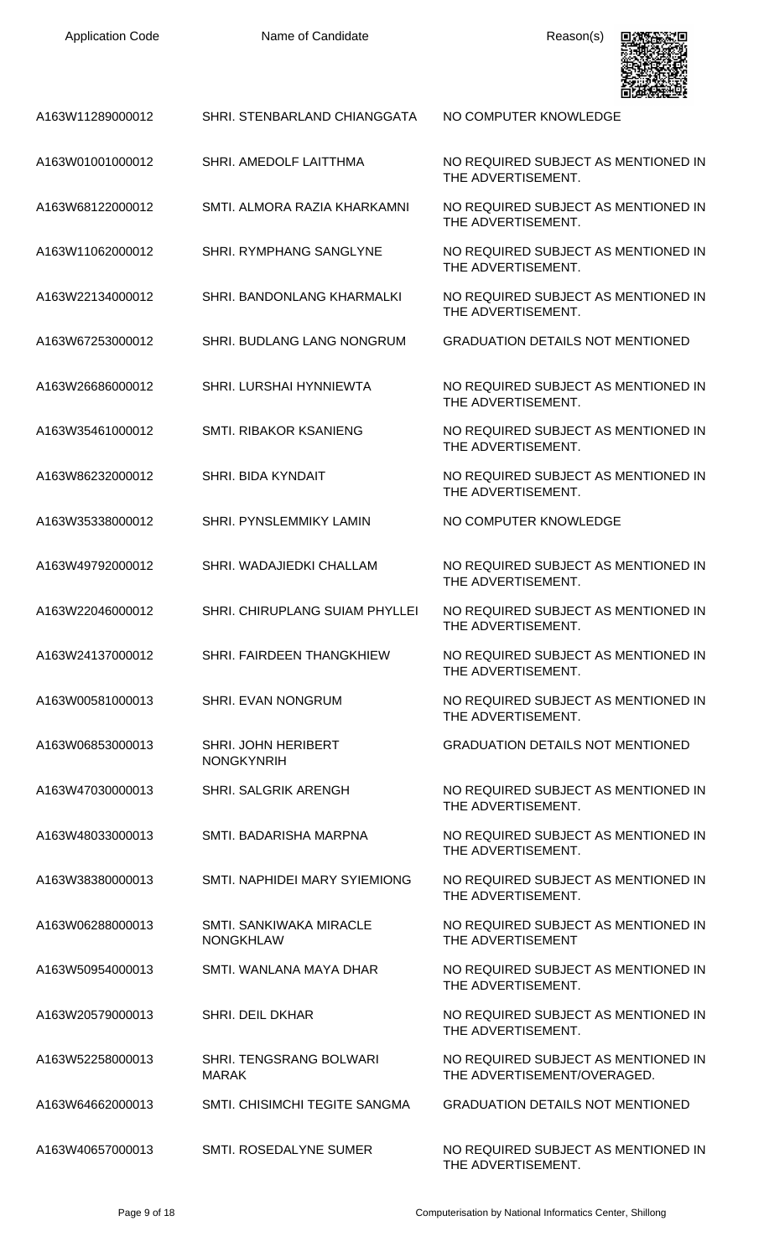| <b>Application Code</b> | Name of Candidate                                  | Reason(s)                                                          |
|-------------------------|----------------------------------------------------|--------------------------------------------------------------------|
| A163W11289000012        | SHRI. STENBARLAND CHIANGGATA                       | NO COMPUTER KNOWLEDGE                                              |
| A163W01001000012        | SHRI. AMEDOLF LAITTHMA                             | NO REQUIRED SUBJECT AS MENTIONED IN<br>THE ADVERTISEMENT.          |
| A163W68122000012        | SMTI. ALMORA RAZIA KHARKAMNI                       | NO REQUIRED SUBJECT AS MENTIONED IN<br>THE ADVERTISEMENT.          |
| A163W11062000012        | SHRI. RYMPHANG SANGLYNE                            | NO REQUIRED SUBJECT AS MENTIONED IN<br>THE ADVERTISEMENT.          |
| A163W22134000012        | SHRI. BANDONLANG KHARMALKI                         | NO REQUIRED SUBJECT AS MENTIONED IN<br>THE ADVERTISEMENT.          |
| A163W67253000012        | <b>SHRI. BUDLANG LANG NONGRUM</b>                  | <b>GRADUATION DETAILS NOT MENTIONED</b>                            |
| A163W26686000012        | SHRI. LURSHAI HYNNIEWTA                            | NO REQUIRED SUBJECT AS MENTIONED IN<br>THE ADVERTISEMENT.          |
| A163W35461000012        | SMTI. RIBAKOR KSANIENG                             | NO REQUIRED SUBJECT AS MENTIONED IN<br>THE ADVERTISEMENT.          |
| A163W86232000012        | SHRI. BIDA KYNDAIT                                 | NO REQUIRED SUBJECT AS MENTIONED IN<br>THE ADVERTISEMENT.          |
| A163W35338000012        | <b>SHRI. PYNSLEMMIKY LAMIN</b>                     | NO COMPUTER KNOWLEDGE                                              |
| A163W49792000012        | SHRI. WADAJIEDKI CHALLAM                           | NO REQUIRED SUBJECT AS MENTIONED IN<br>THE ADVERTISEMENT.          |
| A163W22046000012        | SHRI. CHIRUPLANG SUIAM PHYLLEI                     | NO REQUIRED SUBJECT AS MENTIONED IN<br>THE ADVERTISEMENT.          |
| A163W24137000012        | SHRI. FAIRDEEN THANGKHIEW                          | NO REQUIRED SUBJECT AS MENTIONED IN<br>THE ADVERTISEMENT.          |
| A163W00581000013        | <b>SHRI. EVAN NONGRUM</b>                          | NO REQUIRED SUBJECT AS MENTIONED IN<br>THE ADVERTISEMENT.          |
| A163W06853000013        | SHRI. JOHN HERIBERT<br><b>NONGKYNRIH</b>           | <b>GRADUATION DETAILS NOT MENTIONED</b>                            |
| A163W47030000013        | <b>SHRI. SALGRIK ARENGH</b>                        | NO REQUIRED SUBJECT AS MENTIONED IN<br>THE ADVERTISEMENT.          |
| A163W48033000013        | SMTI. BADARISHA MARPNA                             | NO REQUIRED SUBJECT AS MENTIONED IN<br>THE ADVERTISEMENT.          |
| A163W38380000013        | SMTI. NAPHIDEI MARY SYIEMIONG                      | NO REQUIRED SUBJECT AS MENTIONED IN<br>THE ADVERTISEMENT.          |
| A163W06288000013        | <b>SMTI. SANKIWAKA MIRACLE</b><br><b>NONGKHLAW</b> | NO REQUIRED SUBJECT AS MENTIONED IN<br>THE ADVERTISEMENT           |
| A163W50954000013        | SMTI. WANLANA MAYA DHAR                            | NO REQUIRED SUBJECT AS MENTIONED IN<br>THE ADVERTISEMENT.          |
| A163W20579000013        | <b>SHRI. DEIL DKHAR</b>                            | NO REQUIRED SUBJECT AS MENTIONED IN<br>THE ADVERTISEMENT.          |
| A163W52258000013        | SHRI. TENGSRANG BOLWARI<br><b>MARAK</b>            | NO REQUIRED SUBJECT AS MENTIONED IN<br>THE ADVERTISEMENT/OVERAGED. |
| A163W64662000013        | <b>SMTI. CHISIMCHI TEGITE SANGMA</b>               | <b>GRADUATION DETAILS NOT MENTIONED</b>                            |
| A163W40657000013        | SMTI. ROSEDALYNE SUMER                             | NO REQUIRED SUBJECT AS MENTIONED IN                                |

THE ADVERTISEMENT.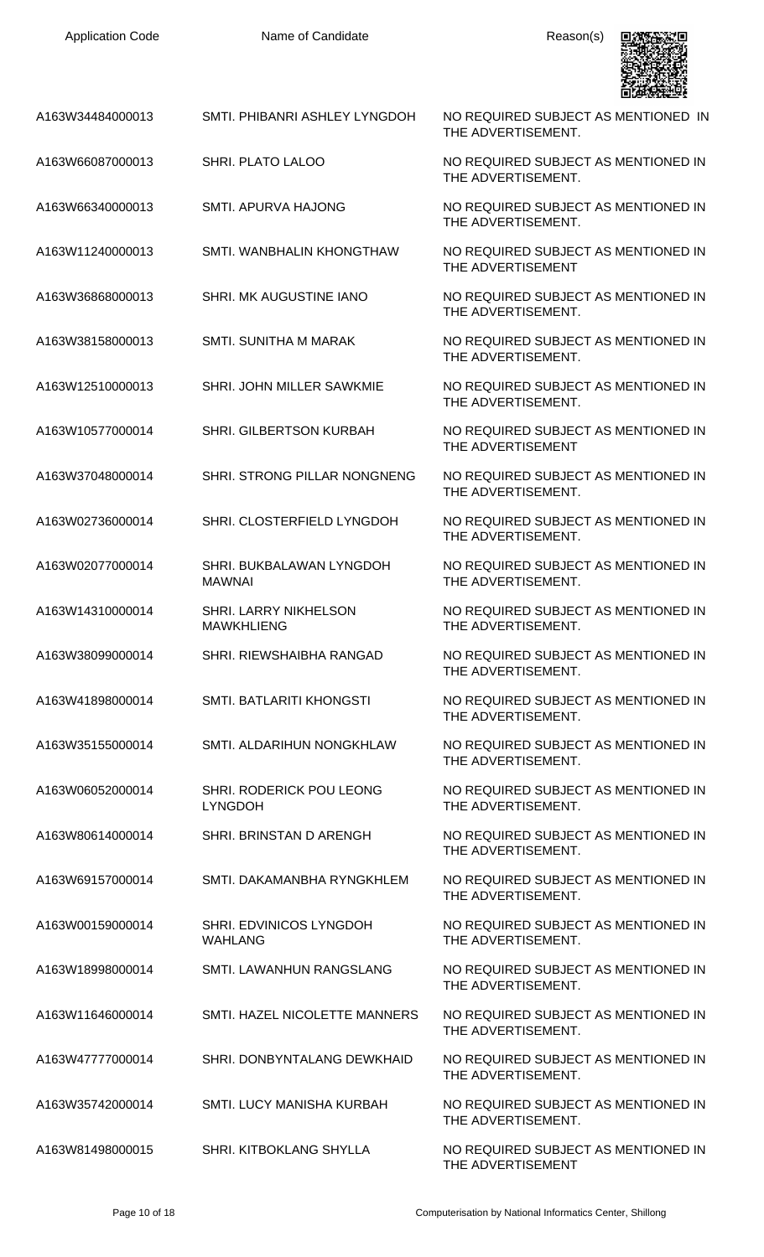

| A163W34484000013 | SMTI. PHIBANRI ASHLEY LYNGDOH              | NO REQUIRED SUBJECT AS MENTIONED IN<br>THE ADVERTISEMENT. |
|------------------|--------------------------------------------|-----------------------------------------------------------|
| A163W66087000013 | <b>SHRI. PLATO LALOO</b>                   | NO REQUIRED SUBJECT AS MENTIONED IN<br>THE ADVERTISEMENT. |
| A163W66340000013 | <b>SMTI. APURVA HAJONG</b>                 | NO REQUIRED SUBJECT AS MENTIONED IN<br>THE ADVERTISEMENT. |
| A163W11240000013 | SMTI. WANBHALIN KHONGTHAW                  | NO REQUIRED SUBJECT AS MENTIONED IN<br>THE ADVERTISEMENT  |
| A163W36868000013 | SHRI. MK AUGUSTINE IANO                    | NO REQUIRED SUBJECT AS MENTIONED IN<br>THE ADVERTISEMENT. |
| A163W38158000013 | <b>SMTI. SUNITHA M MARAK</b>               | NO REQUIRED SUBJECT AS MENTIONED IN<br>THE ADVERTISEMENT. |
| A163W12510000013 | SHRI. JOHN MILLER SAWKMIE                  | NO REQUIRED SUBJECT AS MENTIONED IN<br>THE ADVERTISEMENT. |
| A163W10577000014 | <b>SHRI. GILBERTSON KURBAH</b>             | NO REQUIRED SUBJECT AS MENTIONED IN<br>THE ADVERTISEMENT  |
| A163W37048000014 | SHRI. STRONG PILLAR NONGNENG               | NO REQUIRED SUBJECT AS MENTIONED IN<br>THE ADVERTISEMENT. |
| A163W02736000014 | SHRI. CLOSTERFIELD LYNGDOH                 | NO REQUIRED SUBJECT AS MENTIONED IN<br>THE ADVERTISEMENT. |
| A163W02077000014 | SHRI. BUKBALAWAN LYNGDOH<br><b>MAWNAI</b>  | NO REQUIRED SUBJECT AS MENTIONED IN<br>THE ADVERTISEMENT. |
| A163W14310000014 | SHRI. LARRY NIKHELSON<br><b>MAWKHLIENG</b> | NO REQUIRED SUBJECT AS MENTIONED IN<br>THE ADVERTISEMENT. |
| A163W38099000014 | SHRI. RIEWSHAIBHA RANGAD                   | NO REQUIRED SUBJECT AS MENTIONED IN<br>THE ADVERTISEMENT. |
| A163W41898000014 | SMTI. BATLARITI KHONGSTI                   | NO REQUIRED SUBJECT AS MENTIONED IN<br>THE ADVERTISEMENT. |
| A163W35155000014 | SMTI. ALDARIHUN NONGKHLAW                  | NO REQUIRED SUBJECT AS MENTIONED IN<br>THE ADVERTISEMENT. |
| A163W06052000014 | SHRI. RODERICK POU LEONG<br><b>LYNGDOH</b> | NO REQUIRED SUBJECT AS MENTIONED IN<br>THE ADVERTISEMENT. |
| A163W80614000014 | SHRI. BRINSTAN D ARENGH                    | NO REQUIRED SUBJECT AS MENTIONED IN<br>THE ADVERTISEMENT. |
| A163W69157000014 | SMTI. DAKAMANBHA RYNGKHLEM                 | NO REQUIRED SUBJECT AS MENTIONED IN<br>THE ADVERTISEMENT. |
| A163W00159000014 | SHRI. EDVINICOS LYNGDOH<br><b>WAHLANG</b>  | NO REQUIRED SUBJECT AS MENTIONED IN<br>THE ADVERTISEMENT. |
| A163W18998000014 | SMTI. LAWANHUN RANGSLANG                   | NO REQUIRED SUBJECT AS MENTIONED IN<br>THE ADVERTISEMENT. |
| A163W11646000014 | SMTI. HAZEL NICOLETTE MANNERS              | NO REQUIRED SUBJECT AS MENTIONED IN<br>THE ADVERTISEMENT. |
| A163W47777000014 | SHRI. DONBYNTALANG DEWKHAID                | NO REQUIRED SUBJECT AS MENTIONED IN<br>THE ADVERTISEMENT. |
| A163W35742000014 | SMTI. LUCY MANISHA KURBAH                  | NO REQUIRED SUBJECT AS MENTIONED IN<br>THE ADVERTISEMENT. |
| A163W81498000015 | SHRI. KITBOKLANG SHYLLA                    | NO REQUIRED SUBJECT AS MENTIONED IN<br>THE ADVERTISEMENT  |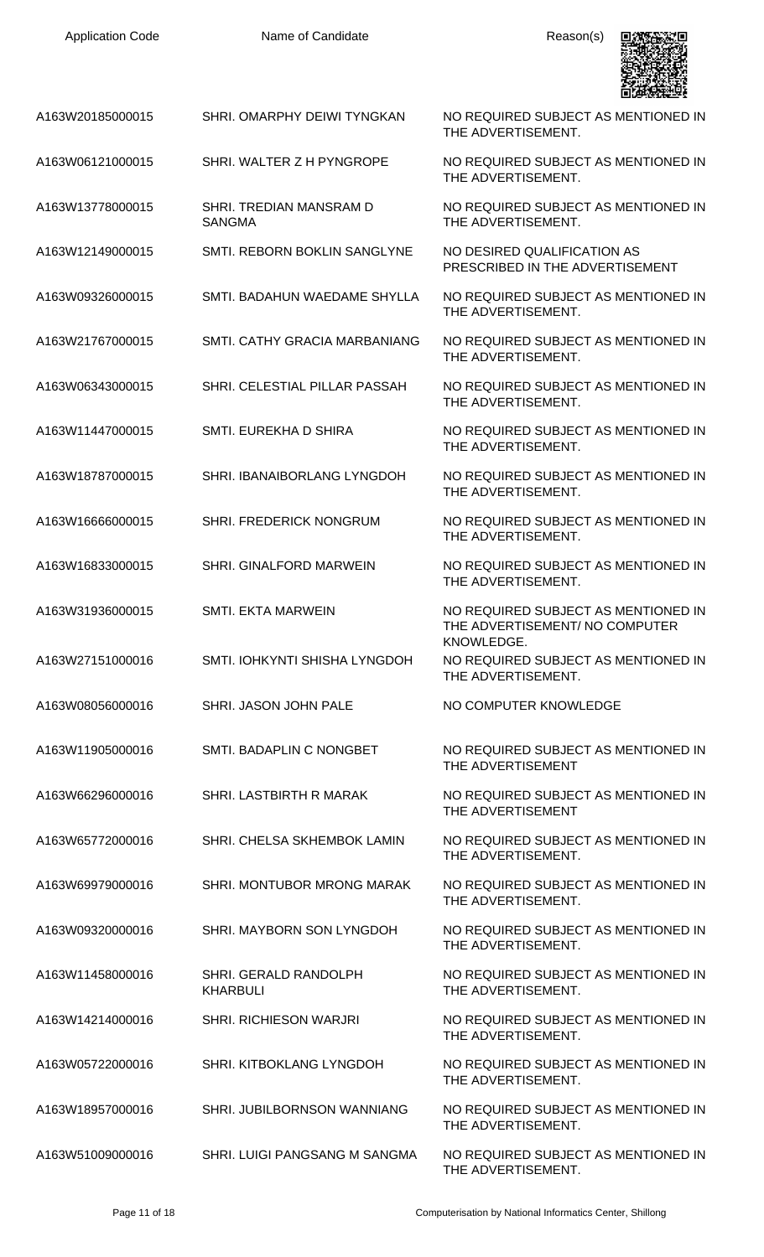| <b>Application Code</b> | Name of Candidate                        | Reason(s)                                                                           |
|-------------------------|------------------------------------------|-------------------------------------------------------------------------------------|
| A163W20185000015        | SHRI. OMARPHY DEIWI TYNGKAN              | NO REQUIRED SUBJECT AS MENTIONED IN<br>THE ADVERTISEMENT.                           |
| A163W06121000015        | SHRI. WALTER Z H PYNGROPE                | NO REQUIRED SUBJECT AS MENTIONED IN<br>THE ADVERTISEMENT.                           |
| A163W13778000015        | SHRI. TREDIAN MANSRAM D<br><b>SANGMA</b> | NO REQUIRED SUBJECT AS MENTIONED IN<br>THE ADVERTISEMENT.                           |
| A163W12149000015        | SMTI. REBORN BOKLIN SANGLYNE             | NO DESIRED QUALIFICATION AS<br>PRESCRIBED IN THE ADVERTISEMENT                      |
| A163W09326000015        | SMTI. BADAHUN WAEDAME SHYLLA             | NO REQUIRED SUBJECT AS MENTIONED IN<br>THE ADVERTISEMENT.                           |
| A163W21767000015        | SMTI. CATHY GRACIA MARBANIANG            | NO REQUIRED SUBJECT AS MENTIONED IN<br>THE ADVERTISEMENT.                           |
| A163W06343000015        | SHRI. CELESTIAL PILLAR PASSAH            | NO REQUIRED SUBJECT AS MENTIONED IN<br>THE ADVERTISEMENT.                           |
| A163W11447000015        | SMTI. EUREKHA D SHIRA                    | NO REQUIRED SUBJECT AS MENTIONED IN<br>THE ADVERTISEMENT.                           |
| A163W18787000015        | SHRI. IBANAIBORLANG LYNGDOH              | NO REQUIRED SUBJECT AS MENTIONED IN<br>THE ADVERTISEMENT.                           |
| A163W16666000015        | SHRI. FREDERICK NONGRUM                  | NO REQUIRED SUBJECT AS MENTIONED IN<br>THE ADVERTISEMENT.                           |
| A163W16833000015        | <b>SHRI. GINALFORD MARWEIN</b>           | NO REQUIRED SUBJECT AS MENTIONED IN<br>THE ADVERTISEMENT.                           |
| A163W31936000015        | <b>SMTI. EKTA MARWEIN</b>                | NO REQUIRED SUBJECT AS MENTIONED IN<br>THE ADVERTISEMENT/ NO COMPUTER<br>KNOWLEDGE. |
| A163W27151000016        | SMTI. IOHKYNTI SHISHA LYNGDOH            | NO REQUIRED SUBJECT AS MENTIONED IN<br>THE ADVERTISEMENT.                           |
| A163W08056000016        | SHRI. JASON JOHN PALE                    | NO COMPUTER KNOWLEDGE                                                               |
| A163W11905000016        | SMTI. BADAPLIN C NONGBET                 | NO REQUIRED SUBJECT AS MENTIONED IN<br>THE ADVERTISEMENT                            |
| A163W66296000016        | SHRI. LASTBIRTH R MARAK                  | NO REQUIRED SUBJECT AS MENTIONED IN<br>THE ADVERTISEMENT                            |
| A163W65772000016        | SHRI. CHELSA SKHEMBOK LAMIN              | NO REQUIRED SUBJECT AS MENTIONED IN<br>THE ADVERTISEMENT.                           |
| A163W69979000016        | SHRI. MONTUBOR MRONG MARAK               | NO REQUIRED SUBJECT AS MENTIONED IN<br>THE ADVERTISEMENT.                           |
| A163W09320000016        | SHRI. MAYBORN SON LYNGDOH                | NO REQUIRED SUBJECT AS MENTIONED IN<br>THE ADVERTISEMENT.                           |
| A163W11458000016        | SHRI. GERALD RANDOLPH<br><b>KHARBULI</b> | NO REQUIRED SUBJECT AS MENTIONED IN<br>THE ADVERTISEMENT.                           |
| A163W14214000016        | <b>SHRI. RICHIESON WARJRI</b>            | NO REQUIRED SUBJECT AS MENTIONED IN<br>THE ADVERTISEMENT.                           |
| A163W05722000016        | SHRI. KITBOKLANG LYNGDOH                 | NO REQUIRED SUBJECT AS MENTIONED IN<br>THE ADVERTISEMENT.                           |
| A163W18957000016        | SHRI. JUBILBORNSON WANNIANG              | NO REQUIRED SUBJECT AS MENTIONED IN<br>THE ADVERTISEMENT.                           |
| A163W51009000016        | SHRI. LUIGI PANGSANG M SANGMA            | NO REQUIRED SUBJECT AS MENTIONED IN<br>THE ADVERTISEMENT.                           |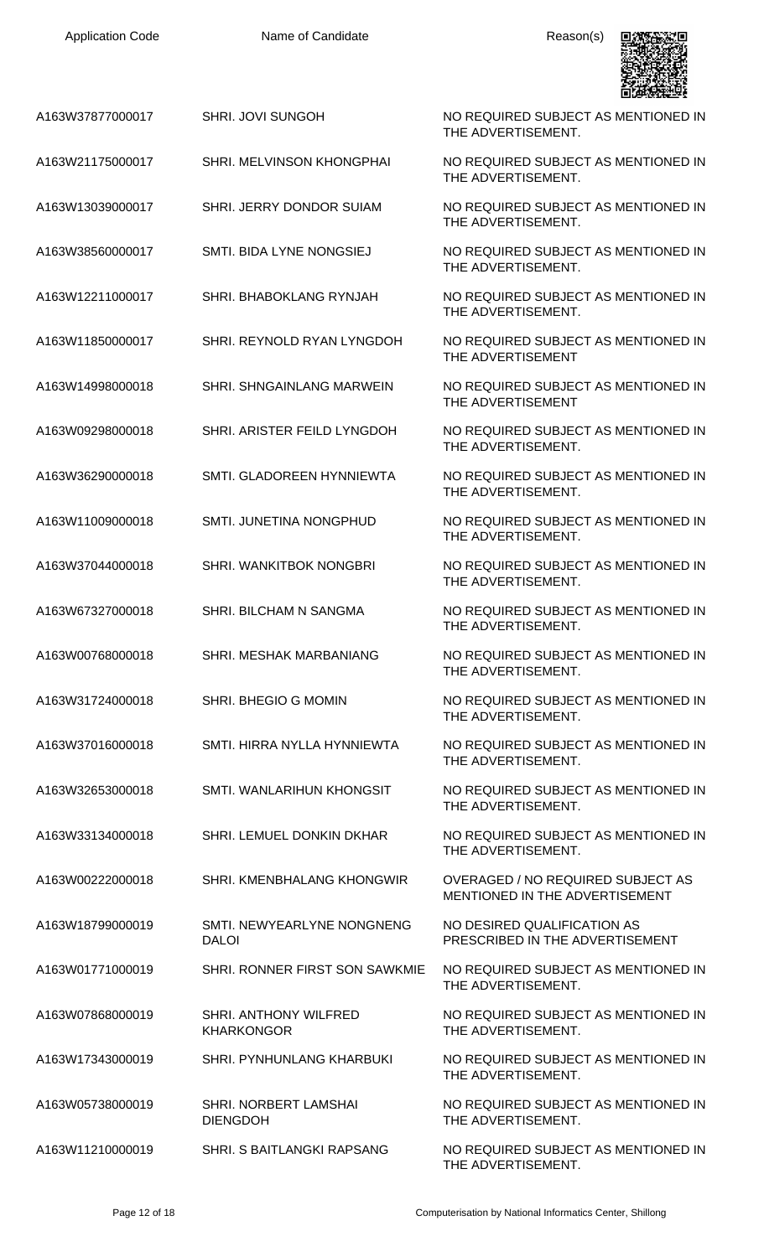Application Code **Name of Candidate** Application Code Reason(s)



A163W37877000017 SHRI. JOVI SUNGOH NO REQUIRED SUBJECT AS MENTIONED IN

- A163W21175000017 SHRI. MELVINSON KHONGPHAI NO REQUIRED SUBJECT AS MENTIONED IN
- A163W13039000017 SHRI. JERRY DONDOR SUIAM NO REQUIRED SUBJECT AS MENTIONED IN
- A163W38560000017 SMTI. BIDA LYNE NONGSIEJ NO REQUIRED SUBJECT AS MENTIONED IN
- A163W12211000017 SHRI. BHABOKLANG RYNJAH NO REQUIRED SUBJECT AS MENTIONED IN
- A163W11850000017 SHRI. REYNOLD RYAN LYNGDOH NO REQUIRED SUBJECT AS MENTIONED IN
- A163W14998000018 SHRI. SHNGAINLANG MARWEIN NO REQUIRED SUBJECT AS MENTIONED IN
- A163W09298000018 SHRI. ARISTER FEILD LYNGDOH NO REQUIRED SUBJECT AS MENTIONED IN
- A163W36290000018 SMTI. GLADOREEN HYNNIEWTA NO REQUIRED SUBJECT AS MENTIONED IN
- A163W11009000018 SMTI. JUNETINA NONGPHUD NO REQUIRED SUBJECT AS MENTIONED IN
- A163W37044000018 SHRI. WANKITBOK NONGBRI NO REQUIRED SUBJECT AS MENTIONED IN
- A163W67327000018 SHRI. BILCHAM N SANGMA NO REQUIRED SUBJECT AS MENTIONED IN
- A163W00768000018 SHRI. MESHAK MARBANIANG NO REQUIRED SUBJECT AS MENTIONED IN
- A163W31724000018 SHRI. BHEGIO G MOMIN NO REQUIRED SUBJECT AS MENTIONED IN
- A163W37016000018 SMTI. HIRRA NYLLA HYNNIEWTA NO REQUIRED SUBJECT AS MENTIONED IN
- A163W32653000018 SMTI. WANLARIHUN KHONGSIT NO REQUIRED SUBJECT AS MENTIONED IN
- A163W33134000018 SHRI. LEMUEL DONKIN DKHAR NO REQUIRED SUBJECT AS MENTIONED IN
- A163W00222000018 SHRI. KMENBHALANG KHONGWIR OVERAGED / NO REQUIRED SUBJECT AS
- A163W18799000019 SMTI. NEWYEARLYNE NONGNENG DALOI
- A163W01771000019 SHRI. RONNER FIRST SON SAWKMIE NO REQUIRED SUBJECT AS MENTIONED IN
- A163W07868000019 SHRI. ANTHONY WILFRED KHARKONGOR
- A163W17343000019 SHRI. PYNHUNLANG KHARBUKI NO REQUIRED SUBJECT AS MENTIONED IN
- A163W05738000019 SHRI. NORBERT LAMSHAI DIENGDOH
- A163W11210000019 SHRI. S BAITLANGKI RAPSANG NO REQUIRED SUBJECT AS MENTIONED IN
- THE ADVERTISEMENT.
- THE ADVERTISEMENT.
- THE ADVERTISEMENT.
- THE ADVERTISEMENT.
- THE ADVERTISEMENT
- THE ADVERTISEMENT
- THE ADVERTISEMENT.
- THE ADVERTISEMENT.
- THE ADVERTISEMENT.
- THE ADVERTISEMENT.
- THE ADVERTISEMENT.
- THE ADVERTISEMENT.
- THE ADVERTISEMENT.
- THE ADVERTISEMENT.
- THE ADVERTISEMENT.
- THE ADVERTISEMENT.
- MENTIONED IN THE ADVERTISEMENT
- NO DESIRED QUALIFICATION AS PRESCRIBED IN THE ADVERTISEMENT
- THE ADVERTISEMENT.
- NO REQUIRED SUBJECT AS MENTIONED IN THE ADVERTISEMENT.
- THE ADVERTISEMENT.
- NO REQUIRED SUBJECT AS MENTIONED IN THE ADVERTISEMENT.
- THE ADVERTISEMENT.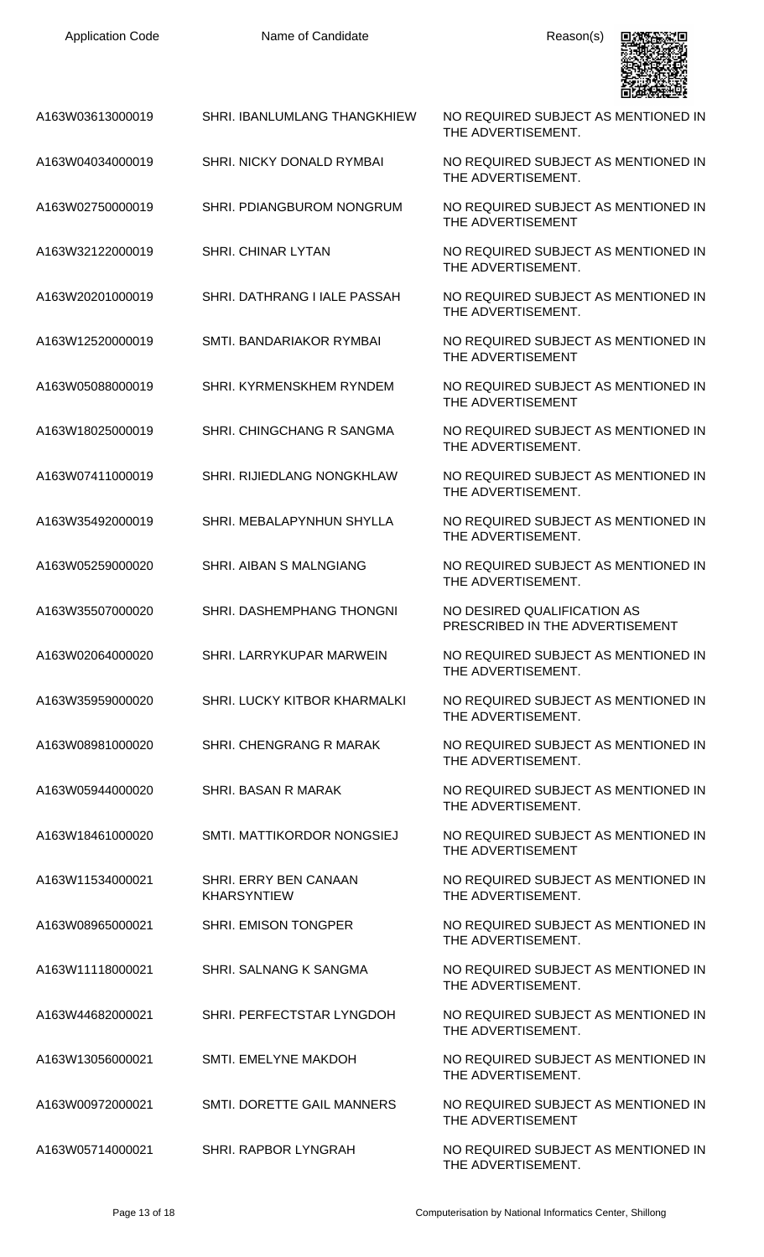

| A163W03613000019 | <b>SHRI. IBANLUMLANG THANGKHIEW</b>         | NO REQUIRED SUBJECT AS MENTIONED IN<br>THE ADVERTISEMENT.      |
|------------------|---------------------------------------------|----------------------------------------------------------------|
| A163W04034000019 | <b>SHRI. NICKY DONALD RYMBAI</b>            | NO REQUIRED SUBJECT AS MENTIONED IN<br>THE ADVERTISEMENT.      |
| A163W02750000019 | SHRI. PDIANGBUROM NONGRUM                   | NO REQUIRED SUBJECT AS MENTIONED IN<br>THE ADVERTISEMENT       |
| A163W32122000019 | SHRI. CHINAR LYTAN                          | NO REQUIRED SUBJECT AS MENTIONED IN<br>THE ADVERTISEMENT.      |
| A163W20201000019 | SHRI. DATHRANG I IALE PASSAH                | NO REQUIRED SUBJECT AS MENTIONED IN<br>THE ADVERTISEMENT.      |
| A163W12520000019 | SMTI. BANDARIAKOR RYMBAI                    | NO REQUIRED SUBJECT AS MENTIONED IN<br>THE ADVERTISEMENT       |
| A163W05088000019 | SHRI. KYRMENSKHEM RYNDEM                    | NO REQUIRED SUBJECT AS MENTIONED IN<br>THE ADVERTISEMENT       |
| A163W18025000019 | SHRI. CHINGCHANG R SANGMA                   | NO REQUIRED SUBJECT AS MENTIONED IN<br>THE ADVERTISEMENT.      |
| A163W07411000019 | SHRI. RIJIEDLANG NONGKHLAW                  | NO REQUIRED SUBJECT AS MENTIONED IN<br>THE ADVERTISEMENT.      |
| A163W35492000019 | SHRI. MEBALAPYNHUN SHYLLA                   | NO REQUIRED SUBJECT AS MENTIONED IN<br>THE ADVERTISEMENT.      |
| A163W05259000020 | SHRI. AIBAN S MALNGIANG                     | NO REQUIRED SUBJECT AS MENTIONED IN<br>THE ADVERTISEMENT.      |
| A163W35507000020 | SHRI. DASHEMPHANG THONGNI                   | NO DESIRED QUALIFICATION AS<br>PRESCRIBED IN THE ADVERTISEMENT |
| A163W02064000020 | SHRI. LARRYKUPAR MARWEIN                    | NO REQUIRED SUBJECT AS MENTIONED IN<br>THE ADVERTISEMENT.      |
| A163W35959000020 | SHRI. LUCKY KITBOR KHARMALKI                | NO REQUIRED SUBJECT AS MENTIONED IN<br>THE ADVERTISEMENT.      |
| A163W08981000020 | SHRI. CHENGRANG R MARAK                     | NO REQUIRED SUBJECT AS MENTIONED IN<br>THE ADVERTISEMENT.      |
| A163W05944000020 | SHRI. BASAN R MARAK                         | NO REQUIRED SUBJECT AS MENTIONED IN<br>THE ADVERTISEMENT.      |
| A163W18461000020 | SMTI. MATTIKORDOR NONGSIEJ                  | NO REQUIRED SUBJECT AS MENTIONED IN<br>THE ADVERTISEMENT       |
| A163W11534000021 | SHRI. ERRY BEN CANAAN<br><b>KHARSYNTIEW</b> | NO REQUIRED SUBJECT AS MENTIONED IN<br>THE ADVERTISEMENT.      |
| A163W08965000021 | SHRI. EMISON TONGPER                        | NO REQUIRED SUBJECT AS MENTIONED IN<br>THE ADVERTISEMENT.      |
| A163W11118000021 | SHRI. SALNANG K SANGMA                      | NO REQUIRED SUBJECT AS MENTIONED IN<br>THE ADVERTISEMENT.      |
| A163W44682000021 | SHRI. PERFECTSTAR LYNGDOH                   | NO REQUIRED SUBJECT AS MENTIONED IN<br>THE ADVERTISEMENT.      |
| A163W13056000021 | SMTI. EMELYNE MAKDOH                        | NO REQUIRED SUBJECT AS MENTIONED IN<br>THE ADVERTISEMENT.      |
| A163W00972000021 | SMTI. DORETTE GAIL MANNERS                  | NO REQUIRED SUBJECT AS MENTIONED IN<br>THE ADVERTISEMENT       |
| A163W05714000021 | SHRI. RAPBOR LYNGRAH                        | NO REQUIRED SUBJECT AS MENTIONED IN<br>THE ADVERTISEMENT.      |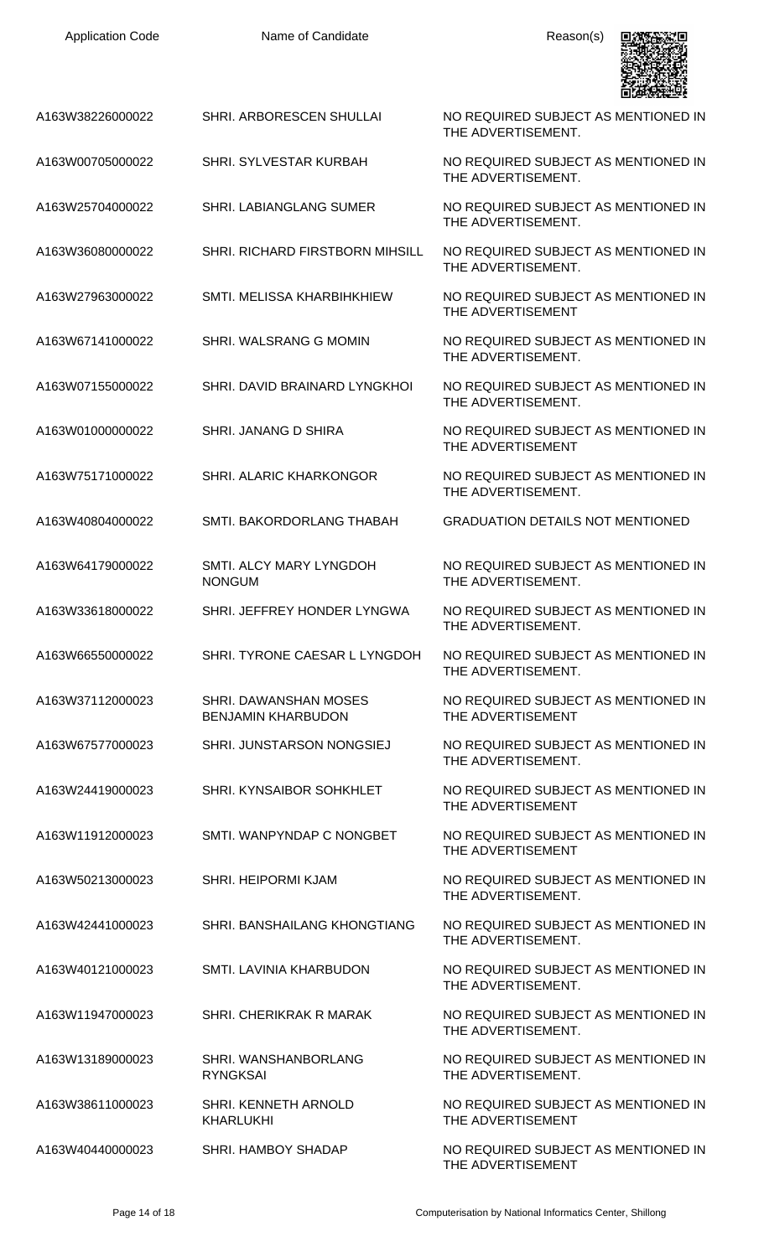| A163W38226000022 | SHRI. ARBORESCEN SHULLAI                           | NO REQUIRED SUBJECT AS MENTIONED IN<br>THE ADVERTISEMENT. |
|------------------|----------------------------------------------------|-----------------------------------------------------------|
| A163W00705000022 | SHRI. SYLVESTAR KURBAH                             | NO REQUIRED SUBJECT AS MENTIONED IN<br>THE ADVERTISEMENT. |
| A163W25704000022 | <b>SHRI. LABIANGLANG SUMER</b>                     | NO REQUIRED SUBJECT AS MENTIONED IN<br>THE ADVERTISEMENT. |
| A163W36080000022 | <b>SHRI. RICHARD FIRSTBORN MIHSILL</b>             | NO REQUIRED SUBJECT AS MENTIONED IN<br>THE ADVERTISEMENT. |
| A163W27963000022 | SMTI. MELISSA KHARBIHKHIEW                         | NO REQUIRED SUBJECT AS MENTIONED IN<br>THE ADVERTISEMENT  |
| A163W67141000022 | SHRI. WALSRANG G MOMIN                             | NO REQUIRED SUBJECT AS MENTIONED IN<br>THE ADVERTISEMENT. |
| A163W07155000022 | SHRI. DAVID BRAINARD LYNGKHOI                      | NO REQUIRED SUBJECT AS MENTIONED IN<br>THE ADVERTISEMENT. |
| A163W01000000022 | SHRI. JANANG D SHIRA                               | NO REQUIRED SUBJECT AS MENTIONED IN<br>THE ADVERTISEMENT  |
| A163W75171000022 | SHRI. ALARIC KHARKONGOR                            | NO REQUIRED SUBJECT AS MENTIONED IN<br>THE ADVERTISEMENT. |
| A163W40804000022 | SMTI. BAKORDORLANG THABAH                          | <b>GRADUATION DETAILS NOT MENTIONED</b>                   |
| A163W64179000022 | SMTI. ALCY MARY LYNGDOH<br><b>NONGUM</b>           | NO REQUIRED SUBJECT AS MENTIONED IN<br>THE ADVERTISEMENT. |
| A163W33618000022 | SHRI. JEFFREY HONDER LYNGWA                        | NO REQUIRED SUBJECT AS MENTIONED IN<br>THE ADVERTISEMENT. |
| A163W66550000022 | SHRI. TYRONE CAESAR L LYNGDOH                      | NO REQUIRED SUBJECT AS MENTIONED IN<br>THE ADVERTISEMENT. |
| A163W37112000023 | SHRI. DAWANSHAN MOSES<br><b>BENJAMIN KHARBUDON</b> | NO REQUIRED SUBJECT AS MENTIONED IN<br>THE ADVERTISEMENT  |
| A163W67577000023 | SHRI. JUNSTARSON NONGSIEJ                          | NO REQUIRED SUBJECT AS MENTIONED IN<br>THE ADVERTISEMENT. |
| A163W24419000023 | SHRI. KYNSAIBOR SOHKHLET                           | NO REQUIRED SUBJECT AS MENTIONED IN<br>THE ADVERTISEMENT  |
| A163W11912000023 | SMTI. WANPYNDAP C NONGBET                          | NO REQUIRED SUBJECT AS MENTIONED IN<br>THE ADVERTISEMENT  |
| A163W50213000023 | SHRI. HEIPORMI KJAM                                | NO REQUIRED SUBJECT AS MENTIONED IN<br>THE ADVERTISEMENT. |
| A163W42441000023 | SHRI. BANSHAILANG KHONGTIANG                       | NO REQUIRED SUBJECT AS MENTIONED IN<br>THE ADVERTISEMENT. |
| A163W40121000023 | SMTI. LAVINIA KHARBUDON                            | NO REQUIRED SUBJECT AS MENTIONED IN<br>THE ADVERTISEMENT. |
| A163W11947000023 | <b>SHRI. CHERIKRAK R MARAK</b>                     | NO REQUIRED SUBJECT AS MENTIONED IN<br>THE ADVERTISEMENT. |
| A163W13189000023 | SHRI. WANSHANBORLANG<br><b>RYNGKSAI</b>            | NO REQUIRED SUBJECT AS MENTIONED IN<br>THE ADVERTISEMENT. |
| A163W38611000023 | SHRI. KENNETH ARNOLD<br><b>KHARLUKHI</b>           | NO REQUIRED SUBJECT AS MENTIONED IN<br>THE ADVERTISEMENT  |
| A163W40440000023 | <b>SHRI. HAMBOY SHADAP</b>                         | NO REQUIRED SUBJECT AS MENTIONED IN<br>THE ADVERTISEMENT  |

具線接線場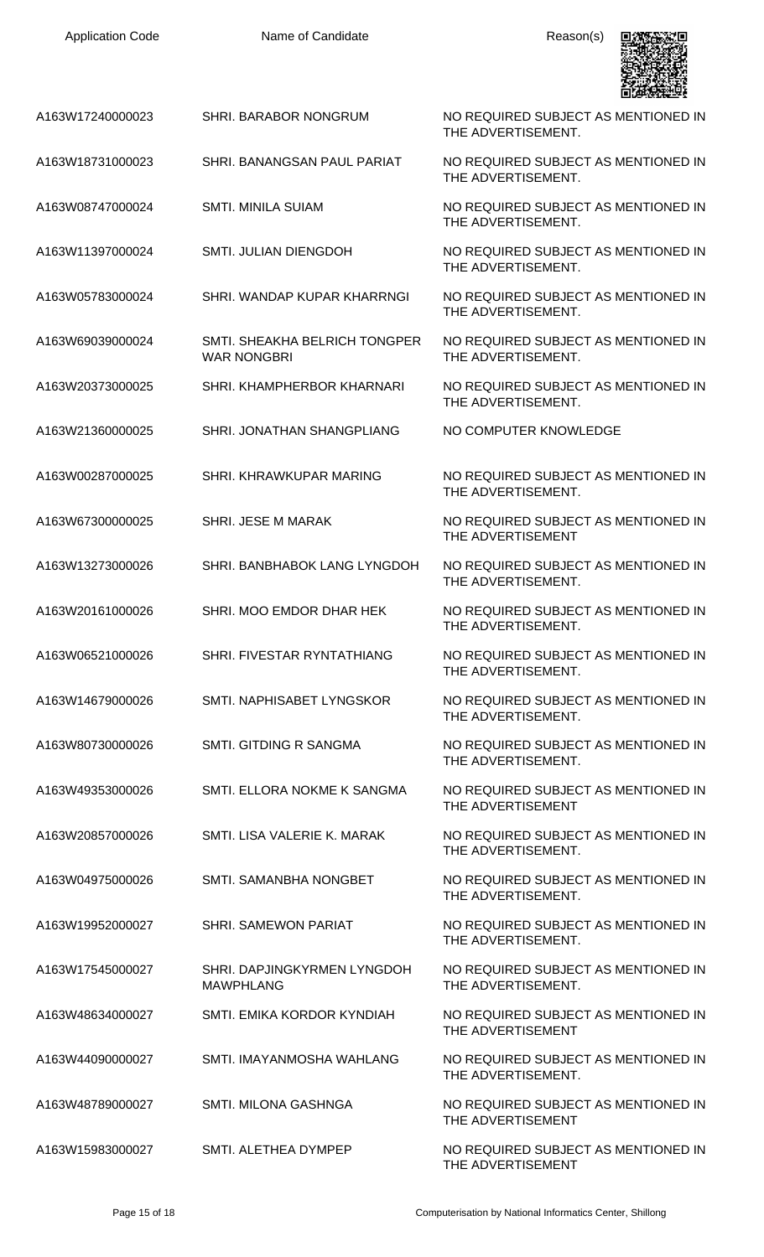| <b>Application Code</b> | Name of Candidate                                   | Reason(s)                                                 |
|-------------------------|-----------------------------------------------------|-----------------------------------------------------------|
| A163W17240000023        | SHRI. BARABOR NONGRUM                               | NO REQUIRED SUBJECT AS MENTIONED IN<br>THE ADVERTISEMENT. |
| A163W18731000023        | SHRI. BANANGSAN PAUL PARIAT                         | NO REQUIRED SUBJECT AS MENTIONED IN<br>THE ADVERTISEMENT. |
| A163W08747000024        | <b>SMTI. MINILA SUIAM</b>                           | NO REQUIRED SUBJECT AS MENTIONED IN<br>THE ADVERTISEMENT. |
| A163W11397000024        | SMTI. JULIAN DIENGDOH                               | NO REQUIRED SUBJECT AS MENTIONED IN<br>THE ADVERTISEMENT. |
| A163W05783000024        | SHRI. WANDAP KUPAR KHARRNGI                         | NO REQUIRED SUBJECT AS MENTIONED IN<br>THE ADVERTISEMENT. |
| A163W69039000024        | SMTI. SHEAKHA BELRICH TONGPER<br><b>WAR NONGBRI</b> | NO REQUIRED SUBJECT AS MENTIONED IN<br>THE ADVERTISEMENT. |
| A163W20373000025        | SHRI. KHAMPHERBOR KHARNARI                          | NO REQUIRED SUBJECT AS MENTIONED IN<br>THE ADVERTISEMENT. |
| A163W21360000025        | SHRI. JONATHAN SHANGPLIANG                          | NO COMPUTER KNOWLEDGE                                     |
| A163W00287000025        | SHRI. KHRAWKUPAR MARING                             | NO REQUIRED SUBJECT AS MENTIONED IN<br>THE ADVERTISEMENT. |
| A163W67300000025        | SHRI. JESE M MARAK                                  | NO REQUIRED SUBJECT AS MENTIONED IN<br>THE ADVERTISEMENT  |
| A163W13273000026        | SHRI. BANBHABOK LANG LYNGDOH                        | NO REQUIRED SUBJECT AS MENTIONED IN<br>THE ADVERTISEMENT. |
| A163W20161000026        | SHRI. MOO EMDOR DHAR HEK                            | NO REQUIRED SUBJECT AS MENTIONED IN<br>THE ADVERTISEMENT. |
| A163W06521000026        | SHRI. FIVESTAR RYNTATHIANG                          | NO REQUIRED SUBJECT AS MENTIONED IN<br>THE ADVERTISEMENT. |
| A163W14679000026        | SMTI. NAPHISABET LYNGSKOR                           | NO REQUIRED SUBJECT AS MENTIONED IN<br>THE ADVERTISEMENT. |
| A163W80730000026        | SMTI. GITDING R SANGMA                              | NO REQUIRED SUBJECT AS MENTIONED IN<br>THE ADVERTISEMENT. |
| A163W49353000026        | SMTI. ELLORA NOKME K SANGMA                         | NO REQUIRED SUBJECT AS MENTIONED IN<br>THE ADVERTISEMENT  |
| A163W20857000026        | SMTI. LISA VALERIE K. MARAK                         | NO REQUIRED SUBJECT AS MENTIONED IN<br>THE ADVERTISEMENT. |
| A163W04975000026        | SMTI. SAMANBHA NONGBET                              | NO REQUIRED SUBJECT AS MENTIONED IN<br>THE ADVERTISEMENT. |
| A163W19952000027        | <b>SHRI. SAMEWON PARIAT</b>                         | NO REQUIRED SUBJECT AS MENTIONED IN<br>THE ADVERTISEMENT. |
| A163W17545000027        | SHRI. DAPJINGKYRMEN LYNGDOH<br><b>MAWPHLANG</b>     | NO REQUIRED SUBJECT AS MENTIONED IN<br>THE ADVERTISEMENT. |
| A163W48634000027        | SMTI. EMIKA KORDOR KYNDIAH                          | NO REQUIRED SUBJECT AS MENTIONED IN<br>THE ADVERTISEMENT  |
| A163W44090000027        | SMTI. IMAYANMOSHA WAHLANG                           | NO REQUIRED SUBJECT AS MENTIONED IN<br>THE ADVERTISEMENT. |
| A163W48789000027        | SMTI. MILONA GASHNGA                                | NO REQUIRED SUBJECT AS MENTIONED IN<br>THE ADVERTISEMENT  |
| A163W15983000027        | SMTI. ALETHEA DYMPEP                                | NO REQUIRED SUBJECT AS MENTIONED IN<br>THE ADVERTISEMENT  |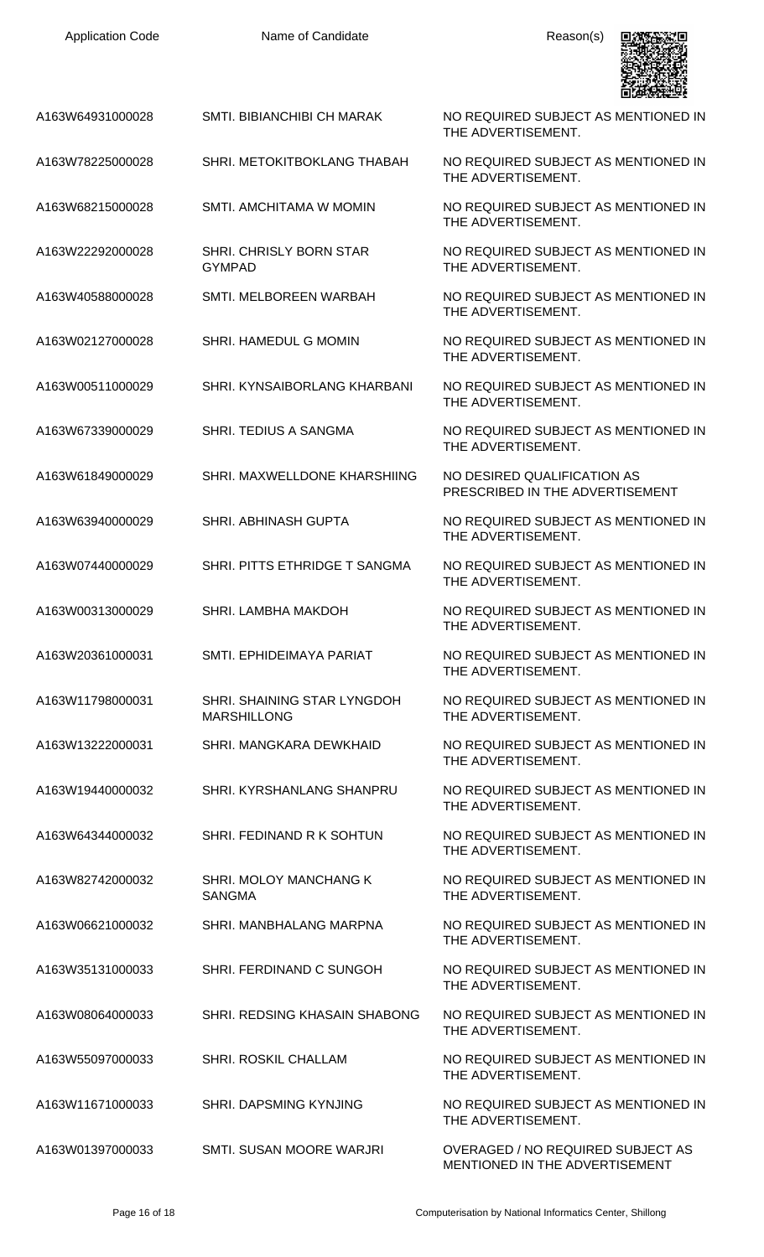| <b>Application Code</b> | Name of Candidate                                 | Reason(s)                                                           |
|-------------------------|---------------------------------------------------|---------------------------------------------------------------------|
| A163W64931000028        | SMTI. BIBIANCHIBI CH MARAK                        | NO REQUIRED SUBJECT AS MENTIONED IN<br>THE ADVERTISEMENT.           |
| A163W78225000028        | SHRI. METOKITBOKLANG THABAH                       | NO REQUIRED SUBJECT AS MENTIONED IN<br>THE ADVERTISEMENT.           |
| A163W68215000028        | SMTI, AMCHITAMA W MOMIN                           | NO REQUIRED SUBJECT AS MENTIONED IN<br>THE ADVERTISEMENT.           |
| A163W22292000028        | SHRI. CHRISLY BORN STAR<br><b>GYMPAD</b>          | NO REQUIRED SUBJECT AS MENTIONED IN<br>THE ADVERTISEMENT.           |
| A163W40588000028        | SMTI. MELBOREEN WARBAH                            | NO REQUIRED SUBJECT AS MENTIONED IN<br>THE ADVERTISEMENT.           |
| A163W02127000028        | SHRI. HAMEDUL G MOMIN                             | NO REQUIRED SUBJECT AS MENTIONED IN<br>THE ADVERTISEMENT.           |
| A163W00511000029        | SHRI. KYNSAIBORLANG KHARBANI                      | NO REQUIRED SUBJECT AS MENTIONED IN<br>THE ADVERTISEMENT.           |
| A163W67339000029        | SHRI. TEDIUS A SANGMA                             | NO REQUIRED SUBJECT AS MENTIONED IN<br>THE ADVERTISEMENT.           |
| A163W61849000029        | SHRI. MAXWELLDONE KHARSHIING                      | NO DESIRED QUALIFICATION AS<br>PRESCRIBED IN THE ADVERTISEMENT      |
| A163W63940000029        | <b>SHRI. ABHINASH GUPTA</b>                       | NO REQUIRED SUBJECT AS MENTIONED IN<br>THE ADVERTISEMENT.           |
| A163W07440000029        | SHRI. PITTS ETHRIDGE T SANGMA                     | NO REQUIRED SUBJECT AS MENTIONED IN<br>THE ADVERTISEMENT.           |
| A163W00313000029        | SHRI. LAMBHA MAKDOH                               | NO REQUIRED SUBJECT AS MENTIONED IN<br>THE ADVERTISEMENT.           |
| A163W20361000031        | SMTI, EPHIDEIMAYA PARIAT                          | NO REQUIRED SUBJECT AS MENTIONED IN<br>THE ADVERTISEMENT.           |
| A163W11798000031        | SHRI. SHAINING STAR LYNGDOH<br><b>MARSHILLONG</b> | NO REQUIRED SUBJECT AS MENTIONED IN<br>THE ADVERTISEMENT.           |
| A163W13222000031        | SHRI. MANGKARA DEWKHAID                           | NO REQUIRED SUBJECT AS MENTIONED IN<br>THE ADVERTISEMENT.           |
| A163W19440000032        | SHRI. KYRSHANLANG SHANPRU                         | NO REQUIRED SUBJECT AS MENTIONED IN<br>THE ADVERTISEMENT.           |
| A163W64344000032        | SHRI. FEDINAND R K SOHTUN                         | NO REQUIRED SUBJECT AS MENTIONED IN<br>THE ADVERTISEMENT.           |
| A163W82742000032        | SHRI. MOLOY MANCHANG K<br><b>SANGMA</b>           | NO REQUIRED SUBJECT AS MENTIONED IN<br>THE ADVERTISEMENT.           |
| A163W06621000032        | SHRI. MANBHALANG MARPNA                           | NO REQUIRED SUBJECT AS MENTIONED IN<br>THE ADVERTISEMENT.           |
| A163W35131000033        | SHRI. FERDINAND C SUNGOH                          | NO REQUIRED SUBJECT AS MENTIONED IN<br>THE ADVERTISEMENT.           |
| A163W08064000033        | SHRI. REDSING KHASAIN SHABONG                     | NO REQUIRED SUBJECT AS MENTIONED IN<br>THE ADVERTISEMENT.           |
| A163W55097000033        | SHRI. ROSKIL CHALLAM                              | NO REQUIRED SUBJECT AS MENTIONED IN<br>THE ADVERTISEMENT.           |
| A163W11671000033        | <b>SHRI. DAPSMING KYNJING</b>                     | NO REQUIRED SUBJECT AS MENTIONED IN<br>THE ADVERTISEMENT.           |
| A163W01397000033        | SMTI. SUSAN MOORE WARJRI                          | OVERAGED / NO REQUIRED SUBJECT AS<br>MENTIONED IN THE ADVERTISEMENT |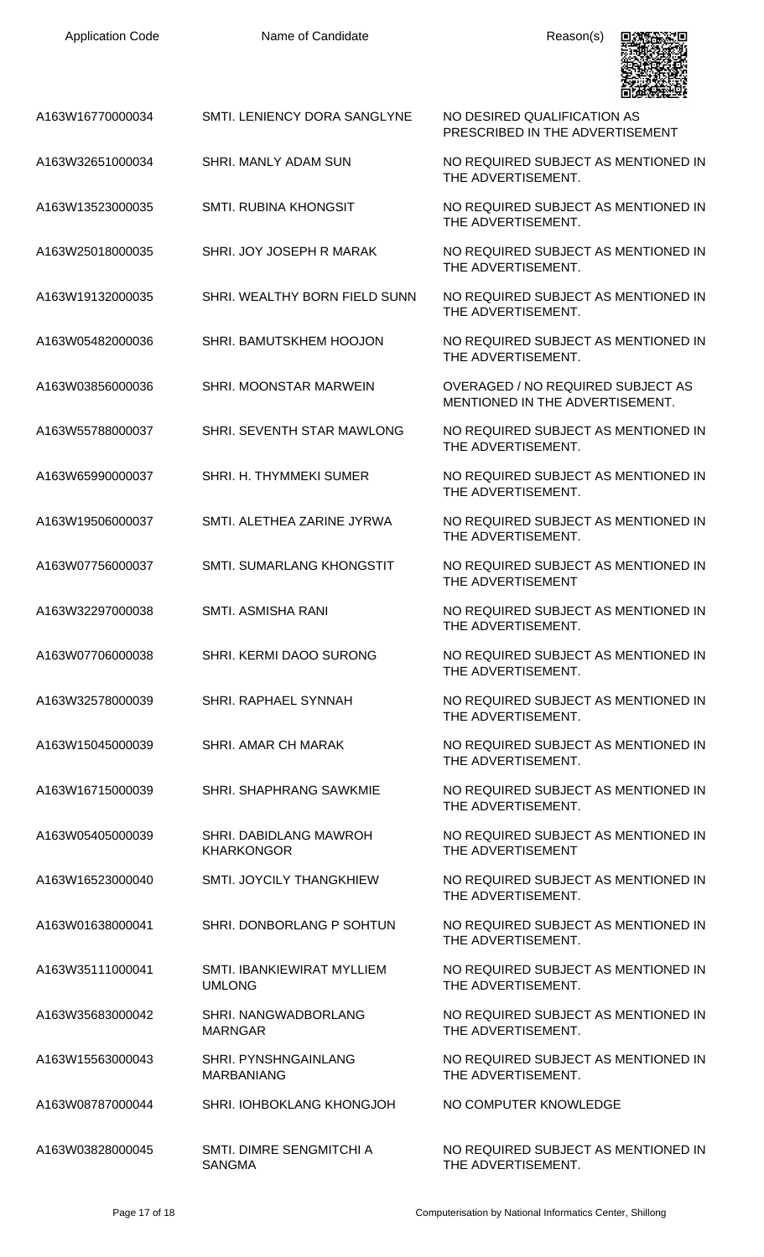| <b>Application Code</b> | Name of Candidate                                | Reason(s)                                                                   |
|-------------------------|--------------------------------------------------|-----------------------------------------------------------------------------|
| A163W16770000034        | SMTI. LENIENCY DORA SANGLYNE                     | NO DESIRED QUALIFICATION AS<br>PRESCRIBED IN THE ADVERTISEMENT              |
| A163W32651000034        | SHRI. MANLY ADAM SUN                             | NO REQUIRED SUBJECT AS MENTIONED IN<br>THE ADVERTISEMENT.                   |
| A163W13523000035        | <b>SMTI. RUBINA KHONGSIT</b>                     | NO REQUIRED SUBJECT AS MENTIONED IN<br>THE ADVERTISEMENT.                   |
| A163W25018000035        | SHRI. JOY JOSEPH R MARAK                         | NO REQUIRED SUBJECT AS MENTIONED IN<br>THE ADVERTISEMENT.                   |
| A163W19132000035        | SHRI. WEALTHY BORN FIELD SUNN                    | NO REQUIRED SUBJECT AS MENTIONED IN<br>THE ADVERTISEMENT.                   |
| A163W05482000036        | SHRI. BAMUTSKHEM HOOJON                          | NO REQUIRED SUBJECT AS MENTIONED IN<br>THE ADVERTISEMENT.                   |
| A163W03856000036        | SHRI. MOONSTAR MARWEIN                           | <b>OVERAGED / NO REQUIRED SUBJECT AS</b><br>MENTIONED IN THE ADVERTISEMENT. |
| A163W55788000037        | SHRI. SEVENTH STAR MAWLONG                       | NO REQUIRED SUBJECT AS MENTIONED IN<br>THE ADVERTISEMENT.                   |
| A163W65990000037        | SHRI. H. THYMMEKI SUMER                          | NO REQUIRED SUBJECT AS MENTIONED IN<br>THE ADVERTISEMENT.                   |
| A163W19506000037        | SMTI. ALETHEA ZARINE JYRWA                       | NO REQUIRED SUBJECT AS MENTIONED IN<br>THE ADVERTISEMENT.                   |
| A163W07756000037        | SMTI. SUMARLANG KHONGSTIT                        | NO REQUIRED SUBJECT AS MENTIONED IN<br>THE ADVERTISEMENT                    |
| A163W32297000038        | <b>SMTI. ASMISHA RANI</b>                        | NO REQUIRED SUBJECT AS MENTIONED IN<br>THE ADVERTISEMENT.                   |
| A163W07706000038        | <b>SHRI, KERMI DAOO SURONG</b>                   | NO REQUIRED SUBJECT AS MENTIONED IN<br>THE ADVERTISEMENT.                   |
| A163W32578000039        | SHRI. RAPHAEL SYNNAH                             | NO REQUIRED SUBJECT AS MENTIONED IN<br>THE ADVERTISEMENT.                   |
| A163W15045000039        | <b>SHRI. AMAR CH MARAK</b>                       | NO REQUIRED SUBJECT AS MENTIONED IN<br>THE ADVERTISEMENT.                   |
| A163W16715000039        | <b>SHRI. SHAPHRANG SAWKMIE</b>                   | NO REQUIRED SUBJECT AS MENTIONED IN<br>THE ADVERTISEMENT.                   |
| A163W05405000039        | SHRI. DABIDLANG MAWROH<br><b>KHARKONGOR</b>      | NO REQUIRED SUBJECT AS MENTIONED IN<br>THE ADVERTISEMENT                    |
| A163W16523000040        | <b>SMTI. JOYCILY THANGKHIEW</b>                  | NO REQUIRED SUBJECT AS MENTIONED IN<br>THE ADVERTISEMENT.                   |
| A163W01638000041        | SHRI. DONBORLANG P SOHTUN                        | NO REQUIRED SUBJECT AS MENTIONED IN<br>THE ADVERTISEMENT.                   |
| A163W35111000041        | SMTI. IBANKIEWIRAT MYLLIEM<br><b>UMLONG</b>      | NO REQUIRED SUBJECT AS MENTIONED IN<br>THE ADVERTISEMENT.                   |
| A163W35683000042        | SHRI. NANGWADBORLANG<br><b>MARNGAR</b>           | NO REQUIRED SUBJECT AS MENTIONED IN<br>THE ADVERTISEMENT.                   |
| A163W15563000043        | <b>SHRI. PYNSHNGAINLANG</b><br><b>MARBANIANG</b> | NO REQUIRED SUBJECT AS MENTIONED IN<br>THE ADVERTISEMENT.                   |
| A163W08787000044        | SHRI. IOHBOKLANG KHONGJOH                        | NO COMPUTER KNOWLEDGE                                                       |
| A163W03828000045        | SMTI. DIMRE SENGMITCHI A                         | NO REQUIRED SUBJECT AS MENTIONED IN                                         |

SANGMA

THE ADVERTISEMENT.